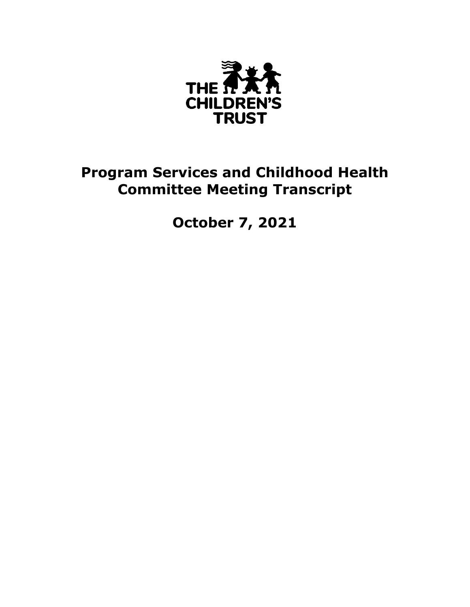

## **Program Services and Childhood Health Committee Meeting Transcript**

**October 7, 2021**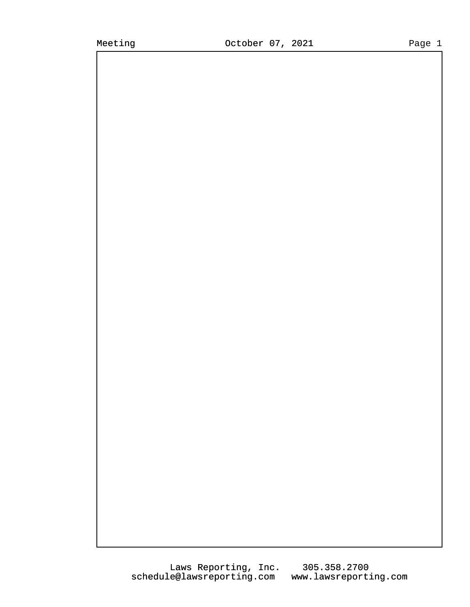THE CHILDREN'S TRUST BOARD OF DIRECTORS · · · PROGRAM SERVICES & CHILDHOOD HEALTH COMMITTEE MEETING · · · · · · · · · ·"VIRTUAL MEETING VIA ZOOM WEBINAR"

The Children's Trust Program Services and

Childhood Health Committee Meeting was held on

October 7, 2021 commencing at 3:30 p.m., in

teleconference via Zoom Webinar. The meeting was

called to order by Pamela Hollingsworth, Chair.

## COMMITTEE MEMBERS:

Pamela Hollingsworth, Chair

Karen Weller, Vice-Chair (Zoom)

Fdward Abraham

Laura Adams

Dr. Daniel Bagner

Dr. Dorothy Bendross-Mindingall (Zoom)

Victor Diaz-Herman

Mary Donworth

Pastor Richard Dunn II

Lourdes P. Gimenez

Valrose Graham

Tiombe-Bisa Kendrick-Dunn

Annie Neasman (Zoom)

Sandra West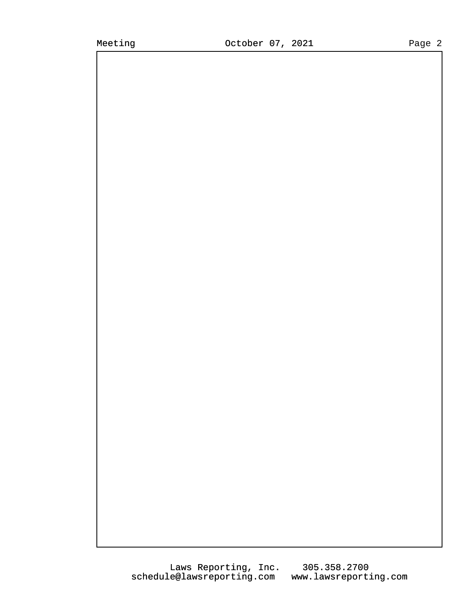|                          | Meeting                               | October 07, 2021 | Page 2 |  |
|--------------------------|---------------------------------------|------------------|--------|--|
| $\mathbf 1$              | <b>COMMITTEE MEMBERS (Continued):</b> |                  |        |  |
| $\overline{2}$           | Kenneth Hoffman (Zoom)                |                  |        |  |
| 3                        | Leigh Kobrinski                       |                  |        |  |
| $\overline{\mathcal{A}}$ |                                       |                  |        |  |
| 5                        | <b><i>STAFF MEMBERS:</i></b>          |                  |        |  |
| $6\,$                    | <b>Bevone Ritchie</b>                 |                  |        |  |
| $\overline{7}$           | Carol Brogan                          |                  |        |  |
| 8                        | Dane Minott                           |                  |        |  |
| 9                        | <b>Garnet Esters</b>                  |                  |        |  |
| 10                       | Imran Ali                             |                  |        |  |
| 11                       | James Haj                             |                  |        |  |
| 12                       | Jacques Bentolila                     |                  |        |  |
| 13                       | Joanna Revelo                         |                  |        |  |
| 14                       | Juana Leon                            |                  |        |  |
| 15                       | Juliette Fabien                       |                  |        |  |
| 16                       | Lisanne Gage                          |                  |        |  |
| 17                       | <b>Lisete Yero</b>                    |                  |        |  |
| 18                       | Lori Hanson                           |                  |        |  |
| 19                       | <b>Muriel Jeanty</b>                  |                  |        |  |
| 20                       | Natalia Zea                           |                  |        |  |
| 21                       | Patricia Leal                         |                  |        |  |
| 22                       | <b>Rachel Spector</b>                 |                  |        |  |
| 23                       | <b>Robert Quinn</b>                   |                  |        |  |
| 24                       | <b>Sheryl Borg</b>                    |                  |        |  |
| 25                       | <b>Stephanie Sylvestre</b>            |                  |        |  |
|                          |                                       |                  |        |  |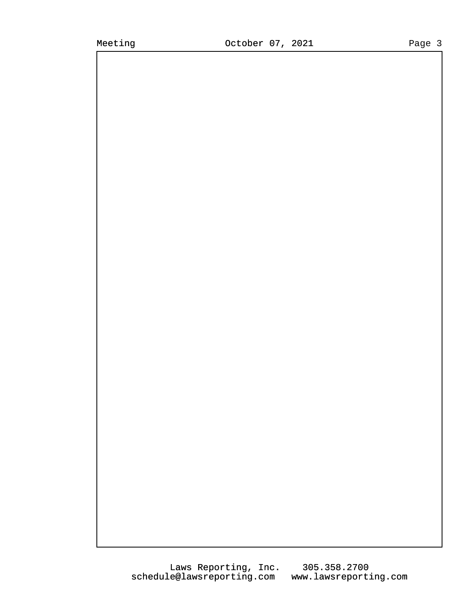|                | Meeting                            | October 07, 2021 |  | Page 3 |
|----------------|------------------------------------|------------------|--|--------|
| $\mathbf 1$    | <b>\$TAFF MEMBERS (Continued):</b> |                  |  |        |
| 2              | <b>Tatiana Canelas</b>             |                  |  |        |
| 3              | <b>William Kirtland</b>            |                  |  |        |
| 4              | <b>Ximena Nunez</b>                |                  |  |        |
| 5              |                                    |                  |  |        |
| 6              | <b>GUESTS:</b>                     |                  |  |        |
| $\overline{7}$ | <b>Tahirah Smith</b>               |                  |  |        |
| 8              | Tommy Richardson                   |                  |  |        |
| 9              | Laura Roberts                      |                  |  |        |
| 10             | Michelle Sanchez                   |                  |  |        |
| 11             | Lauren                             |                  |  |        |
| 12             | Jorge Gonzalez                     |                  |  |        |
| 13             | Jessica Munch-dittmar              |                  |  |        |
| 14             | Myrna Charlton                     |                  |  |        |
| 15             | <b>Carissa Sweet</b>               |                  |  |        |
| 16             | <b>Barbara Cesar</b>               |                  |  |        |
| 17             | Makeesha Coleman                   |                  |  |        |
| 18             | <b>JB Arbelo</b>                   |                  |  |        |
| 19             | Niesha Mack                        |                  |  |        |
| 20             | <b>Lindsey Linzer</b>              |                  |  |        |
| 21             | Linda Freeman                      |                  |  |        |
| 22             | <b>Elizabeth Deveaux</b>           |                  |  |        |
| 23             | LaKeesha Morris-Moreau             |                  |  |        |
| 24             |                                    |                  |  |        |
| 25             |                                    |                  |  |        |
|                |                                    |                  |  |        |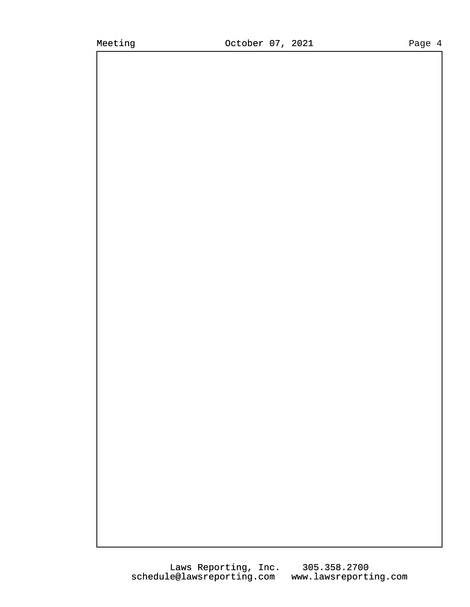|                | Meeting                     | October 07, 2021                                     | Page 4 |
|----------------|-----------------------------|------------------------------------------------------|--------|
| $\mathbf 1$    |                             | PROCEEDINGS                                          |        |
| $\overline{2}$ |                             | MS. HOLLINGSWORTH: Well, good afternoon. We          |        |
| 3              |                             | are going to get started. And welcome, committee     |        |
| 4              |                             | members, staff, and visitors. I'd like to open our   |        |
| 5              |                             | meeting today by welcoming -- we got very lucky over |        |
| 6              |                             | these past couple of weeks with two new Program's    |        |
| $\overline{7}$ |                             | Committee members and one is present here today, Mr. |        |
| 8              |                             | Victor Diaz-Herman. Welcome. We're so glad to have   |        |
| 9              | you with us.                |                                                      |        |
| 10             |                             | Would you like to say a few words?                   |        |
| 11             |                             | MR. DIAZ-HERMAN: I wasn't expecting to say a         |        |
| 12             |                             | few words. I just want to thank you all for inviting |        |
| 13             |                             | me to join this committee. I'm very excited to be    |        |
| 14             |                             | apart, not just of the Board, but of this committee, |        |
| 15             |                             | and look forward to working with each of you to do   |        |
| 16             |                             | amazing things. So I appreciate the invitation and   |        |
| 17             | thank you for welcoming me. |                                                      |        |
| 18             |                             | MS. HOLLINGSWORTH: Okay, thank you. Happy to         |        |
| 19             |                             | have you. And we'll officially welcome Dr. Malou     |        |
| 20             |                             | Harrison at our next Program's Committee Meeting.    |        |
| 21             |                             | Muriel, do we have any public comments?              |        |
| 22             |                             | MS. JEANTY: No public comments.                      |        |
| 23             |                             | MS. HOLLINGSWORTH: Okay, thank you very much.        |        |
| 24             |                             | So, Committee Members, moving on to -- has it been   |        |
| 25             |                             | this long, July 7, our last meeting? So by now you   |        |
|                |                             |                                                      |        |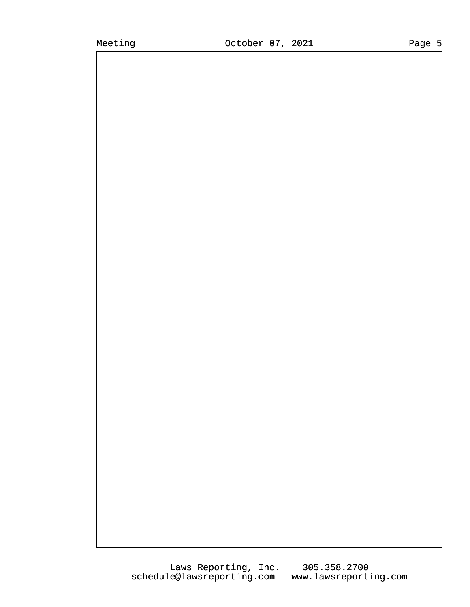|                | Meeting<br>October 07, 2021                          | Page 5 |
|----------------|------------------------------------------------------|--------|
| 1              | will have had an opportunity to review the minutes   |        |
| $\overline{2}$ | from our July 7 meeting. And if there are no changes |        |
| 3              | to those minutes, may I have a motion to approve?    |        |
| 4              | MR. TROWBRIDGE: So moved.                            |        |
| 5              | MS. HOLLINGSWORTH: Thank you. And a second?          |        |
| 6              | DR. BAGNER: Second, Bagner.                          |        |
| 7              | MS. HOLLINGSWORTH: All those in favor?               |        |
| 8              | ALL: Aye.                                            |        |
| $9\,$          | MS. HOLLINGSWORTH: Okay. Thank you. And              |        |
| 10             | minutes are approved. And welcome to all those that  |        |
| 11             | are attending by Zoom today.                         |        |
| 12             | So we are going to move on to the resolutions        |        |
| 13             | and we have six for you today. Just give me a minute |        |
| 14             | as I kind of go between two screens. So we're        |        |
| 15             | starting with Resolution 2022-A: Authorization to    |        |
| 16             | negotiate and execute contract renewals with eight   |        |
| 17             | providers, identified herein, to provide early       |        |
| 18             | intervention summer camp services for 635 slots of   |        |
| 19             | children, birth to five years of age, in a total     |        |
| 20             | amount not to exceed \$2,217,499.00, each for a term |        |
| 21             | of six months, commencing March 1, 2022, and ending  |        |
| 22             | August 31, 2022, -- is that March 1, 2022 and August |        |
| 23             | 31, 2022? Thank you. With one remaining renewal,     |        |
| 24             | subject to annual funding appropriations.            |        |
| 25             | May I have a motion, please?                         |        |
|                |                                                      |        |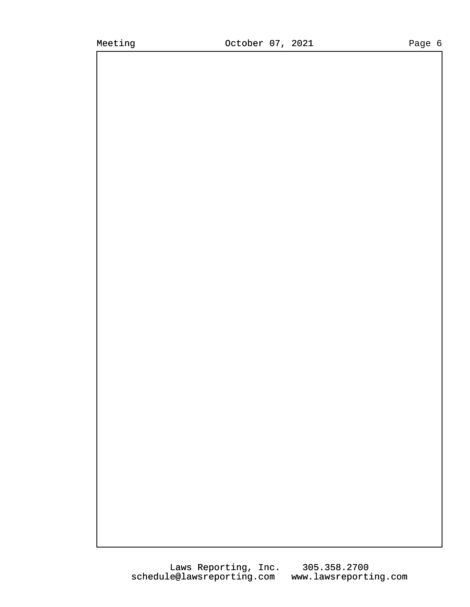|                | Meeting                                               | October 07, 2021                                      | Page 6 |
|----------------|-------------------------------------------------------|-------------------------------------------------------|--------|
| $\mathbf 1$    | MS. GIMENEZ: So moved, Gimenez.                       |                                                       |        |
| $\overline{2}$ |                                                       | MS. HOLLINGSWORTH: Thank you. And a second?           |        |
| 3              | DR. ABRAHAM: Second, Abraham.                         |                                                       |        |
| 4              |                                                       | MS. HOLLINGSWORTH: Thank you. Are there any           |        |
| 5              | recusals?                                             |                                                       |        |
| 6              |                                                       | DR. BAGNER: Recusal, Bagner. Employed by FIU.         |        |
| $\overline{7}$ |                                                       | MS. HOLLINGSWORTH: Thank you. And as we move          |        |
| 8              | into discussion, I will briefly indicate you will     |                                                       |        |
| 9              | have seen the infographic that's included in your     |                                                       |        |
| 10             | packet. This is a countywide initiative. As we are    |                                                       |        |
| 11             | aware, children with identified delays or special     |                                                       |        |
| 12             | needs in early education who receive appropriate      |                                                       |        |
| 13             | responsive intervention are most likely to develop to |                                                       |        |
| 14             | their full potential. Thus, the Trust summer          |                                                       |        |
| 15             | services goals are to provide continuity of the       |                                                       |        |
| 16             | beneficial impacts of school year, early intervention |                                                       |        |
| 17             |                                                       | services through the summer months, and to reduce the |        |
| 18             | risks of summer learning loss. Summer programs        |                                                       |        |
| 19             | operate five days a week for at least 8 hours daily   |                                                       |        |
| 20             | for six to 11 weeks.                                  |                                                       |        |
| 21             | During the summer of 2021, 425 children were          |                                                       |        |
| 22             |                                                       | served, on average, through 22 sessions. One hundred  |        |
| 23             | percent of children reported living with one or more  |                                                       |        |
| 24             | disability. And program observations were conducted   |                                                       |        |
| 25             | in-person and it was found that participants were     |                                                       |        |
|                |                                                       |                                                       |        |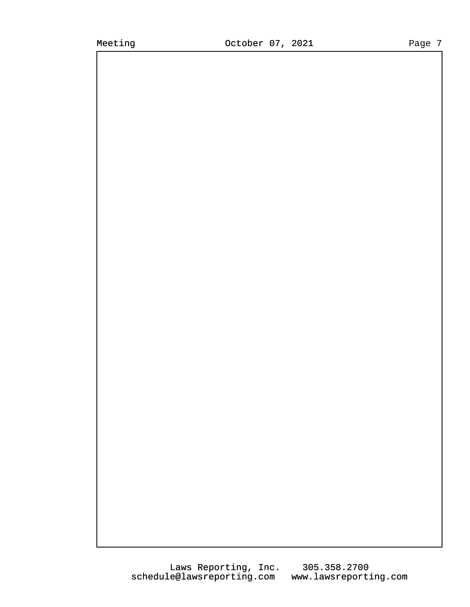|                | Meeting                                               | October 07, 2021                             | Page 7 |  |
|----------------|-------------------------------------------------------|----------------------------------------------|--------|--|
| $\mathbf{1}$   | fully engaged despite the health and social           |                                              |        |  |
| 2              | challenges that these very vulnerable children faced  |                                              |        |  |
| 3              | while attending center-based services.                |                                              |        |  |
| 4              | Committee members, observations, questions about      |                                              |        |  |
| 5              | this resolution?                                      |                                              |        |  |
| 6              | MS. GIMENEZ: I'd just like to make a comment,         |                                              |        |  |
| $\overline{7}$ | Madam Chair. I believe this is very important, early  |                                              |        |  |
| 8              | intervention. A lot of our children go unidentified   |                                              |        |  |
| 9              | in the early years and they never really catch up.    |                                              |        |  |
| 10             | So any program that really focuses and targets those  |                                              |        |  |
| 11             | children at an early stage, I believe is very much    |                                              |        |  |
| 12             | important to be able to offer those services to them. |                                              |        |  |
| 13             |                                                       | MS. HOLLINGSWORTH: Thank you, Lourdes. Other |        |  |
| 14             | comments, observations from the committee?            |                                              |        |  |
| 15             | Hearing none, all those in favor?                     |                                              |        |  |
| 16             | ALL: Aye.                                             |                                              |        |  |
| 17             | MS. HOLLINGSWORTH: Are there any opposed?             |                                              |        |  |
| 18             | Thank you, the resolution carries.                    |                                              |        |  |
| 19             | Resolution 2022-B: Authorization to negotiate         |                                              |        |  |
| 20             | and execute contract renewals with 12 providers,      |                                              |        |  |
| 21             | identified herein, to deliver high-quality summer     |                                              |        |  |
| 22             | camp services for 945 slots for elementary school     |                                              |        |  |
| 23             | children, in a total amount not to exceed             |                                              |        |  |
| 24             | \$1,515,523.00, each for a term of six months,        |                                              |        |  |
| 25             | commencing March 1, 2022, and ending August 31, 2022, |                                              |        |  |
|                |                                                       |                                              |        |  |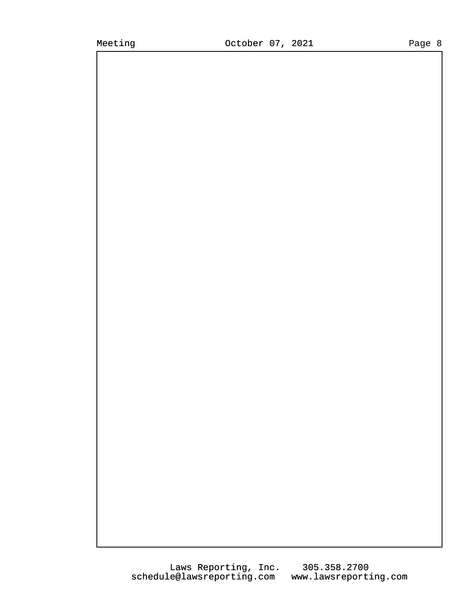|                | Meeting                                             | October 07, 2021                                      | Page 8 |  |
|----------------|-----------------------------------------------------|-------------------------------------------------------|--------|--|
| $\mathbf{1}$   |                                                     | with one remaining renewal, subject to annual funding |        |  |
| $\overline{2}$ | appropriations.                                     |                                                       |        |  |
| 3              | May I have a motion, please?                        |                                                       |        |  |
| 4              | MS. GIMENEZ: So moved.                              |                                                       |        |  |
| 5              | MR. DUNN: Second, Dunn. Richard.                    |                                                       |        |  |
| 6              |                                                     | MS. HOLLINGSWORTH: Thank you. Are there any           |        |  |
| $\overline{7}$ | recusals? Okay, hearing none, let's move into       |                                                       |        |  |
| 8              | discussion.                                         |                                                       |        |  |
| 9              | Briefly, I'll again say that this is a              |                                                       |        |  |
| 10             | countywide program and there is an infographic      |                                                       |        |  |
| 11             | included in your packet. Note that The Children's   |                                                       |        |  |
| 12             | Trust funds summer camps for elementary school      |                                                       |        |  |
| 13             | children grades K to 5 and inclusive specialty      |                                                       |        |  |
| 14             | disability programs. Inclusive programs engage a    |                                                       |        |  |
| 15             | minimum of 10 percent of children with disabilities |                                                       |        |  |
| 16             | and these programs follow a structured schedule of  |                                                       |        |  |
| 17             | activities with nutritious foods and beverages      |                                                       |        |  |
| 18             | included. All this is laid forth in your packet.    |                                                       |        |  |
| 19             |                                                     | And providers were required to follow local and CDC   |        |  |
| 20             |                                                     | guidelines and appropriate group sizes for in-service |        |  |
| 21             | -- in-person services.                              |                                                       |        |  |
| 22             | Note that during the summer of 2021, 840            |                                                       |        |  |
| 23             | children were served with an average of 35 days of  |                                                       |        |  |
| 24             | service, with 26 percent, and that's 219 children,  |                                                       |        |  |
| 25             | reporting living with one or more disability.       |                                                       |        |  |
|                |                                                     |                                                       |        |  |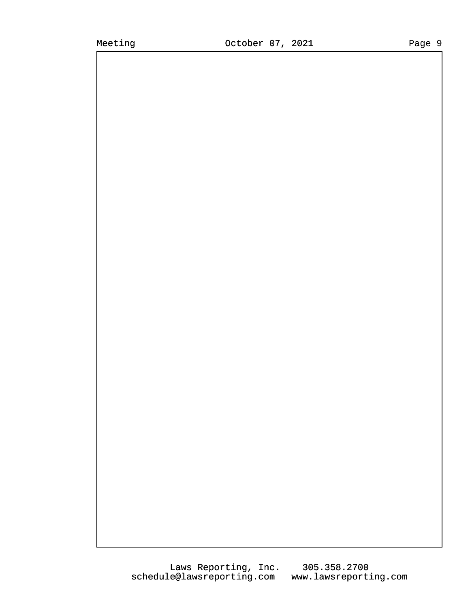|                | Meeting | October 07, 2021                                      | Page 9 |
|----------------|---------|-------------------------------------------------------|--------|
| 1              |         | Questions, comments from the committee?               |        |
| $\overline{2}$ |         | MS. GIMENEZ: I'd like to comment. DI is very          |        |
| 3              |         | important. There's a difference between               |        |
| 4              |         | differentiated instruction and small group. And when  |        |
| 5              |         | you're targeting children with what they really need, |        |
| 6              |         | as far as strategies or skills, it focuses exactly on |        |
| $\overline{7}$ |         | what the child needs. And a child who is a third      |        |
| 8              |         | grader in second grade level, needs to be working on  |        |
| $9\,$          |         | second grade material, not on third grade, because    |        |
| 10             |         | obviously there is no comprehension or even phonetic  |        |
| 11             |         | awareness that they have to be able to decode those   |        |
| 12             |         | words. So I like the fact that they're doing that     |        |
| 13             |         | and targeting that. And it's also by certified        |        |
| 14             |         | teachers, which is very important as well.            |        |
| 15             |         | MS. HOLLINGSWORTH: Thank you, Lourdes.                |        |
| 16             | Tiombe? |                                                       |        |
| 17             |         | MS. KENDRICK-DUNN: So I did ask this question,        |        |
| 18             |         | but I'll just bring it up here. As far as -- there    |        |
| 19             |         | are a couple of programs, I believe Breakthrough      |        |
| 20             |         | Miami and First Serve, the data so far shows there    |        |
| 21             |         | are less than expected -- the number of children with |        |
| 22             |         | disabilities in this program are less than expected.  |        |
| 23             |         | So I'm just wanting to know if there's any additional |        |
| 24             |         | information we have about that. And I know            |        |
| 25             |         | Breakthrough Miami probably serves, I'm going to      |        |
|                |         |                                                       |        |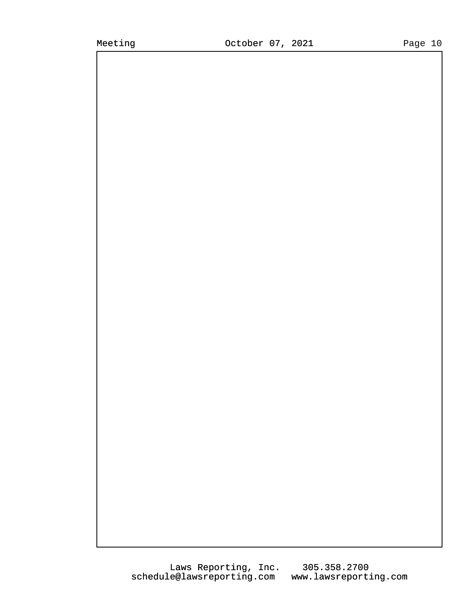|                | Meeting                                              | October 07, 2021                                   | Page 10 |  |
|----------------|------------------------------------------------------|----------------------------------------------------|---------|--|
| $\mathbf 1$    | guess, more high ability children, right, just       |                                                    |         |  |
| $\overline{2}$ | because I know about the program. But just kind of   |                                                    |         |  |
| 3              | having a better understanding why that program and   |                                                    |         |  |
| 4              | First Serve have children with -- not as many with   |                                                    |         |  |
| 5              | disabilities.                                        |                                                    |         |  |
| 6              | And then how are we defining disabilities,           |                                                    |         |  |
| $\overline{7}$ |                                                      | because you do have more -- you have some children |         |  |
| 8              | medically fragile and maybe they cannot go, but a    |                                                    |         |  |
| 9              | child that has a speech impairment, that's a child   |                                                    |         |  |
| 10             | with a disability. A child that may be diabetic type |                                                    |         |  |
| 11             | 1 or 2, or a child that has a language impairment, I |                                                    |         |  |
| 12             | mean every disability doesn't have to be severe in   |                                                    |         |  |
| 13             | nature, per se, and I'm saying that respectfully     |                                                    |         |  |
| 14             | because for the individual they may see that as      |                                                    |         |  |
| 15             | severe. I can't speak, but -- or another person.     |                                                    |         |  |
| 16             | But I think we need to have more children            |                                                    |         |  |
| 17             | represented here, especially in these high ability   |                                                    |         |  |
| 18             | programs because some of the children, it's great to |                                                    |         |  |
| 19             | have children who are high ability and have all the  |                                                    |         |  |
| 20             | straight As and Bs and do well, but this should be a |                                                    |         |  |
| 21             | mix, so.                                             |                                                    |         |  |
| 22             |                                                      | MS. HOLLINGSWORTH: Thank you, Tiombe.              |         |  |
| 23             | Jim?                                                 |                                                    |         |  |
| 24             | MR. HAJ: Madam Chair, thank you. If I may,           |                                                    |         |  |
| 25             | Tiombe, the first question, Breakthrough and First   |                                                    |         |  |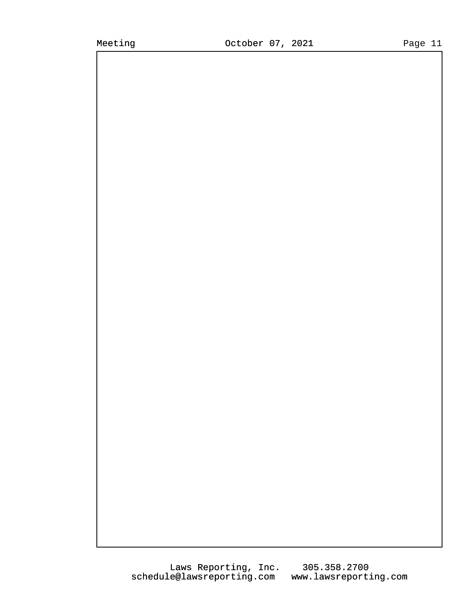|                | Meeting                                            | October 07, 2021                                      | Page 11 |
|----------------|----------------------------------------------------|-------------------------------------------------------|---------|
| $\mathbf 1$    | Serve, and I'll ask Rachel to chime in, but        |                                                       |         |
| $\overline{2}$ |                                                    | Breakthrough -- there's one on this reso and one on   |         |
| 3              |                                                    | the following reso where the numbers, there was a     |         |
| 4              |                                                    | ticket to help with the data pull. Breakthrough, the  |         |
| 5              |                                                    | numbers should be 22 percent and that will be updated |         |
| 6              |                                                    | to show on the board. First Serve Miami, I'll ask     |         |
| $\overline{7}$ | Rachel to chime in on First Serve.                 |                                                       |         |
| 8              |                                                    | MS. SPECTOR: Yeah, in regards to your question        |         |
| 9              | about how do we define disability, it is -- we do  |                                                       |         |
| 10             | include children of all types of disabilities, but |                                                       |         |
| 11             |                                                    | the parent who is registering the child does need to  |         |
| 12             |                                                    | disclose. So there may be many more children          |         |
| 13             |                                                    | represented and if they have a speech delay or any    |         |
| 14             |                                                    | type of medical issue, but as long as the parent      |         |
| 15             |                                                    | needs to let us know, let the program know and then   |         |
| 16             | they identify in our data system.                  |                                                       |         |
| 17             |                                                    | First Serve is a tennis, it's a summer only           |         |
| 18             |                                                    | tennis program. They typically have not had issues    |         |
| 19             |                                                    | in the past. This summer was different. They were -   |         |
| 20             |                                                    | - had difficulty recruiting. They were unclear in     |         |
| 21             |                                                    | the beginning of the summer whether the city parks    |         |
| 22             |                                                    | were going to open for in-person services, and then   |         |
| 23             |                                                    | just some of the other general issues related to them |         |
| 24             |                                                    | and other providers in terms of lower numbers.        |         |
| 25             |                                                    | Since the school district offered Summer 305,         |         |
|                |                                                    |                                                       |         |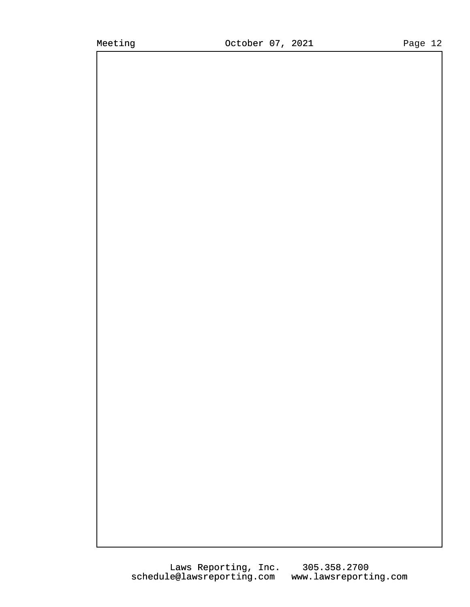|                | Meeting                                              | October 07, 2021                                      | Page 12 |  |
|----------------|------------------------------------------------------|-------------------------------------------------------|---------|--|
| $\mathbf 1$    | which was an amazing opportunity. Many children,     |                                                       |         |  |
| $\overline{2}$ | especially children with disabilities tended to stay |                                                       |         |  |
| 3              | at their home schools if services were being offered |                                                       |         |  |
| 4              | there. And then just because of the pandemic,        |                                                       |         |  |
| 5              | parents of children with more severe disabilities    |                                                       |         |  |
| 6              |                                                      | just chose to keep them home this summer as opposed   |         |  |
| 7              | to past years.                                       |                                                       |         |  |
| 8              |                                                      | MS. HOLLINGSWORTH: Thank you, Rachel.                 |         |  |
| $9\,$          |                                                      | MS. KENDRICK-DUNN: And I'll just mention just         |         |  |
| 10             | one more thing. You know, for programs like          |                                                       |         |  |
| 11             | Breakthrough Miami, I'll just say for an example,    |                                                       |         |  |
| 12             |                                                      | when we have children that they're saying 22 percent  |         |  |
| 13             |                                                      | have disabilities, at some point they may want to --  |         |  |
| 14             | unless its already being done probably, analyze,     |                                                       |         |  |
| 15             |                                                      | okay, so what disabilities are represented and which  |         |  |
| 16             |                                                      | disabilities are not. Because sometimes that can be   |         |  |
| 17             |                                                      | an issue, you know, at society, for example, maybe    |         |  |
| 18             | it's more acceptable in some spaces, let's say, oh,  |                                                       |         |  |
| 19             | the child is autistic and -- or learning disabled,   |                                                       |         |  |
| 20             | okay, let's take them. But let's say if the child    |                                                       |         |  |
| 21             | has an emotional behavior disability, there may be   |                                                       |         |  |
| 22             |                                                      | some discrimination there, possibly by we're going to |         |  |
| 23             | stay away from those children, right. So I think     |                                                       |         |  |
| 24             | it's important for us to analyze what disabilities   |                                                       |         |  |
| 25             |                                                      | are represented. And if there are some, that we need  |         |  |
|                |                                                      |                                                       |         |  |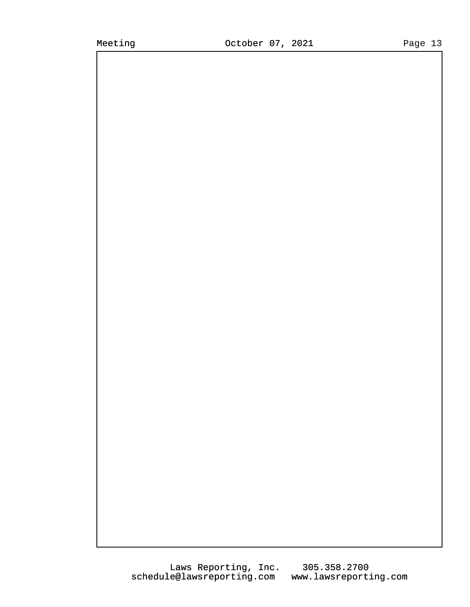|                | Meeting                                           | October 07, 2021                                      | Page 13 |
|----------------|---------------------------------------------------|-------------------------------------------------------|---------|
| $\mathbf{1}$   | to work on and be more inclusive of.              |                                                       |         |
| $\overline{2}$ | MR. DUNN: Madam Chair?                            |                                                       |         |
| 3              | MS. HOLLINGSWORTH: Yes, sir?                      |                                                       |         |
| 4              |                                                   | MR. DUNN: Not as eloquent and as experienced as       |         |
| 5              |                                                   | my namesake, Dr. Tiombe Dunn, but I will say, in my   |         |
| 6              | limited reorientation to students, I'm very happy |                                                       |         |
| $\overline{7}$ |                                                   | about this resolution because it addresses the middle |         |
| 8              | school and high school students. I'm a huge       |                                                       |         |
| $9\,$          |                                                   | proponent of the elementary, but I know there are a   |         |
| 10             |                                                   | plethora of middle school and high school students    |         |
| 11             |                                                   | who tend sometimes to fall through the cracks and --  |         |
| 12             |                                                   | so I'm glad to see that this will be targeted at that |         |
| 13             |                                                   | age group, especially the middle school because       |         |
| 14             | that's -- I'm not an expert, I yield to all the   |                                                       |         |
| 15             |                                                   | educational experts and those of you who deal with    |         |
| 16             | children.                                         |                                                       |         |
| 17             |                                                   | But I will say, my little limited experience has      |         |
| 18             |                                                   | been in that middle school grade, that's where the    |         |
| 19             |                                                   | rubber hits the road, in terms of children dealing    |         |
| 20             |                                                   | with identity, coupled with some disability stuff.    |         |
| 21             |                                                   | And I had to learn the hard way that the majority of  |         |
| 22             |                                                   | students that I deal with are on medication. And lo   |         |
| 23             |                                                   | and behold if they don't get their medications some   |         |
| 24             | days. You're in for a long day. So, I can         |                                                       |         |
| 25             | appreciate this reso.                             |                                                       |         |
|                |                                                   |                                                       |         |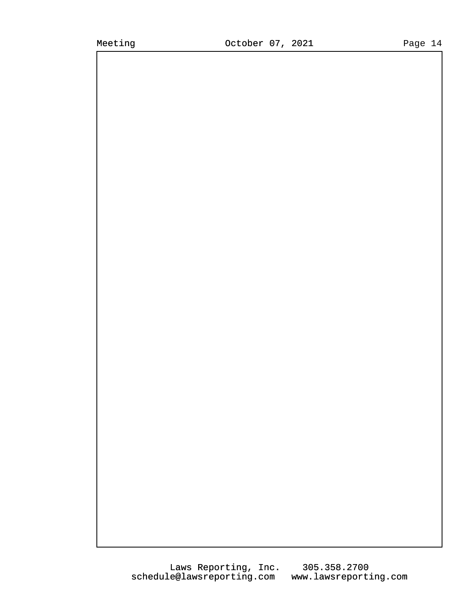|                | Meeting            | October 07, 2021                                     | Page 14 |  |
|----------------|--------------------|------------------------------------------------------|---------|--|
| 1              |                    | MS. HOLLINGSWORTH: Thank you for that, Pastor.       |         |  |
| 2              |                    | MS. BENDROSS-MENDINGALL: Madam Chair?                |         |  |
| 3              |                    | MS. HOLLINGSWORTH: Yes, ma'am?                       |         |  |
| 4              |                    | MS. BENDROSS-MENDINGALL: Thank you very much         |         |  |
| 5              |                    | for allowing me to speak. And I have to agree with   |         |  |
| 6              |                    | all the speakers. To back up their comments,         |         |  |
| $\overline{7}$ |                    | research shows that everything they're saying is     |         |  |
| 8              |                    | absolutely true. We lose so many children when they  |         |  |
| 9              |                    | are in middle school. We really need a one-on-one,   |         |  |
| 10             |                    | as Reverend Dunn has said, for children who are in   |         |  |
| 11             |                    | middle school. For some reason, they have a ton of   |         |  |
| 12             |                    | issues that we can't always address. So I commend    |         |  |
| 13             |                    | them for their remarks and I do agree. Thank you,    |         |  |
| 14             | Madam Chair.       |                                                      |         |  |
| 15             |                    | MS. HOLLINGSWORTH: Thank you, Dr. Bendross-          |         |  |
| 16             | Mindingall.        |                                                      |         |  |
| 17             |                    | MS. GIMENEZ: Madam Chair, I'd just like              |         |  |
| 18             |                    | clarification. Are we on -- which of the resos, B or |         |  |
| 19             | C <sub>2</sub>     |                                                      |         |  |
| 20             |                    | MS. HOLLINGSWORTH: We're on B. It is for             |         |  |
| 21             | elementary school. |                                                      |         |  |
| 22             |                    | MS. GIMENEZ: For elementary, okay. Okay, thank       |         |  |
| 23             | you.               |                                                      |         |  |
| 24             |                    | MS. BENDROSS-MINDINGALL: Madam Chair?                |         |  |
| 25             |                    | MR. DUNN: Madam Chair, my apologies, I was at        |         |  |
|                |                    |                                                      |         |  |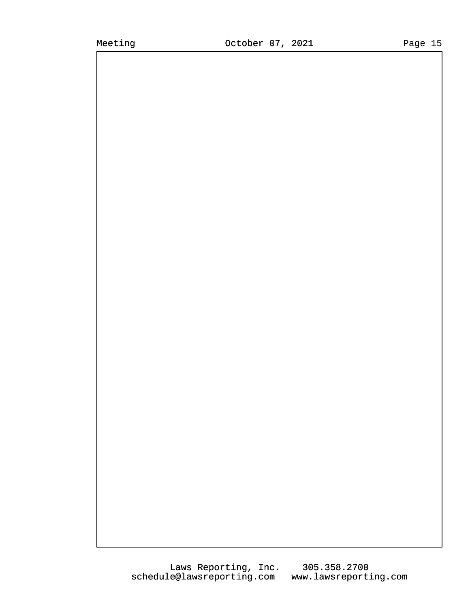|                | Meeting                                              | October 07, 2021                                      | Page 15 |  |
|----------------|------------------------------------------------------|-------------------------------------------------------|---------|--|
| $\mathbf{1}$   | C. Thank you for that point of clarification.        |                                                       |         |  |
| $\overline{2}$ |                                                      | MS. BENDROSS-MINDINGALL: Madam Chair? Did you         |         |  |
| 3              | say elementary?                                      |                                                       |         |  |
| 4              |                                                      | MS. HOLLINGSWORTH: The resolution that we are         |         |  |
| 5              | discussing now is for elementary school children,    |                                                       |         |  |
| 6              | yes.                                                 |                                                       |         |  |
| $\overline{7}$ |                                                      | MS. BENDROSS-MINDINGALL: Yes. Madam Chair? I          |         |  |
| 8              |                                                      | want to say something. Because we lose our children   |         |  |
| 9              |                                                      | in some areas must faster than we would want, we have |         |  |
| 10             | to look at -- they're in the grade, but we also have |                                                       |         |  |
| 11             |                                                      | to look at age. And as Reverend Dunn said again, and  |         |  |
| 12             | Tiombe, the capacity for us to deal with children,   |                                                       |         |  |
| 13             |                                                      | and I know we're now on elementary, but we have to    |         |  |
| 14             | look closely at those children who are labelled as   |                                                       |         |  |
| 15             | elementary, but behave pretty much sometimes as      |                                                       |         |  |
| 16             |                                                      | middle school children do. Thank you, Madam Chair.    |         |  |
| 17             |                                                      | MS. HOLLINGSWORTH: Thank you, Dr. Bendross-           |         |  |
| 18             | Mindingall.                                          |                                                       |         |  |
| 19             |                                                      | DR. BAGNER: Madam Chair, if I may? So I want          |         |  |
| 20             |                                                      | to echo Tiombe's comments as well. You know, it does  |         |  |
| 21             | strike me in comparing the first reso, which I       |                                                       |         |  |
| 22             | couldn't talk about, and this one, 100 percent of    |                                                       |         |  |
| 23             | kids with disabilities from the first one, only 20   |                                                       |         |  |
| 24             | something percent overall in this one. I know this   |                                                       |         |  |
| 25             | is something we've talked about as a committee       |                                                       |         |  |
|                |                                                      |                                                       |         |  |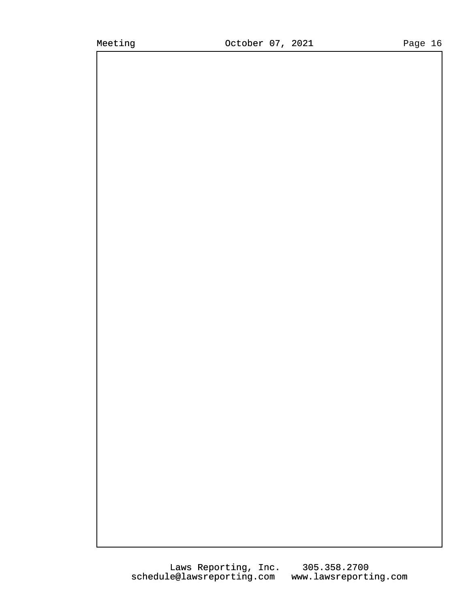|                | Meeting                                     | October 07, 2021                                      | Pag |
|----------------|---------------------------------------------|-------------------------------------------------------|-----|
| $\mathbf 1$    |                                             | several times, like how are we defining disabilities. |     |
| $\overline{2}$ |                                             | I know it could be defined multiple ways. I think     |     |
| 3              |                                             | probably the first reso is because most of the kids   |     |
| 4              |                                             | had behavioral problems and that was considered a     |     |
| 5              | disability.                                 |                                                       |     |
| 6              |                                             | But I know we've also talked about the                |     |
| $\overline{7}$ | importance of maybe of a part intellectual, |                                                       |     |
| 8              |                                             | developmental disabilities from behavioral emotional  |     |
| 9              |                                             | disabilities, maybe reporting all of those things. I  |     |
| 10             |                                             | think that's going to be important. Because I know    |     |
| 11             |                                             | there is rule that programs have to have at least, is |     |
| 12             |                                             | it 20 percent is the cutoff or 10 percent, 10         |     |
| 13             |                                             | percent. And I think we may want to revisit that.     |     |
| 14             |                                             | We may want to revisit how we call a disability. And  |     |
| 15             |                                             | are we just asking parents, does your child have a    |     |
| 16             |                                             | disability? Because I think that is a loaded          |     |
| 17             |                                             | question too. And we could ask maybe, just more       |     |
| 18             |                                             | broadly, about some of the specific areas of          |     |
| 19             | disabilities.                               |                                                       |     |
| 20             |                                             | MS. HOLLINGSWORTH: Thank you, Dr. Bagner.             |     |
| 21             |                                             | Further comments from the committee?                  |     |
| 22             | Hearing none, all those in favor?           |                                                       |     |
| 23             | ALL: Aye.                                   |                                                       |     |
| 24             |                                             | MS. HOLLINGSWORTH: Are there any opposed?             |     |
| 25             | <b>Resolution carries.</b>                  |                                                       |     |
|                |                                             |                                                       |     |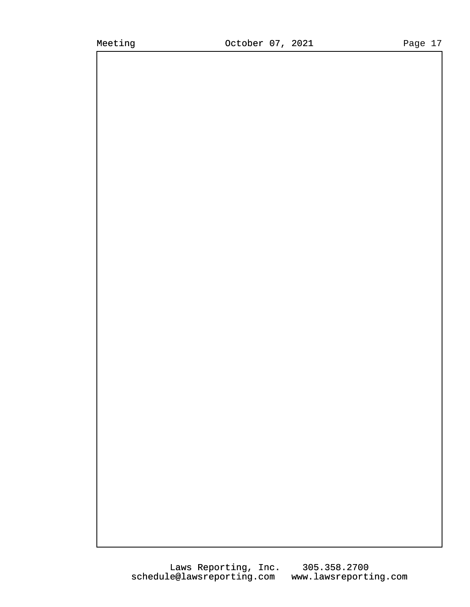|                | Meeting                                         | October 07, 2021                                      | Page 17 |
|----------------|-------------------------------------------------|-------------------------------------------------------|---------|
| 1              |                                                 | Resolution 2022-C: Authorization to negotiate         |         |
| $\overline{2}$ |                                                 | and execute contract renewals with 17 providers,      |         |
| 3              |                                                 | identified herein, to deliver high-quality summer     |         |
| 4              |                                                 | camp services for 1,532 slots for middle and high     |         |
| 5              | school youth, in a total amount not to exceed   |                                                       |         |
| 6              | \$2,597,209.00, each for a term of six months,  |                                                       |         |
| $\overline{7}$ |                                                 | commencing March 1, 2022, and ending August 31, 2022, |         |
| 8              |                                                 | with one remaining renewal, subject to annual funding |         |
| 9              | appropriations.                                 |                                                       |         |
| 10             | May I have a motion, please?                    |                                                       |         |
| 11             | MR. DUNN: So moved, Dunn.                       |                                                       |         |
| 12             |                                                 | MS. HOLLINGSWORTH: Thank you. And a second?           |         |
| 13             |                                                 | MS. KENDRICK-DUNN: Second, Kendrick-Dunn.             |         |
| 14             |                                                 | MS. HOLLINGSWORTH: Thank you. Are there any           |         |
| 15             | recusals?                                       |                                                       |         |
| 16             |                                                 | DR. BAGNER: Can I actually just have a legal          |         |
| 17             | opinion just to verify? I don't think I have to |                                                       |         |
| 18             |                                                 | recuse because it's not in my college, but I just     |         |
| 19             | wanted to confirm that.                         |                                                       |         |
| 20             |                                                 | MS. KOBRINSKI: So the staff seeks Commission on       |         |
| 21             |                                                 | Ethics opinions for all of the resolutions, I'd refer |         |
| 22             |                                                 | to them, but just to remind the board that there is   |         |
| 23             |                                                 | an appearance of impropriety standard for the board   |         |
| 24             |                                                 | members, so even if the Commission on Ethics does not |         |
| 25             |                                                 | require you, if you so feel obligated, you may.       |         |
|                |                                                 |                                                       |         |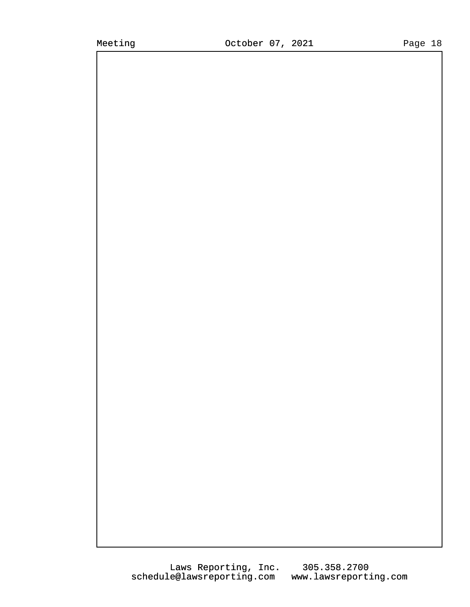|                | Meeting                    | October 07, 2021                                     | Page 18 |
|----------------|----------------------------|------------------------------------------------------|---------|
| $\mathbf 1$    |                            | MR. HAJ: And according to Commission on Ethics,      |         |
| $\overline{2}$ | you do not need to recuse. |                                                      |         |
| 3              |                            | DR. BAGNER: Okay, thank you. I will not recuse.      |         |
| 4              |                            | MS. HOLLINGSWORTH: Okay, thank you. Moving           |         |
| 5              |                            | into -- so there are no recusals. Moving into        |         |
| 6              |                            | discussion. Remember that while some typical summer  |         |
| $\overline{7}$ |                            | programs must operate for at least six weeks with a  |         |
| 8              |                            | minimum of 90 contact hours per youth, some programs |         |
| 9              |                            | here may break up their service periods into cohorts |         |
| 10             |                            | and offer shorter intervals for at least 15 days of  |         |
| 11             |                            | service for youth. Summer Camp for Youth also        |         |
| 12             |                            | follows a structured schedule of activities, as the  |         |
| 13             |                            | others we've talked about just now. 1,218 youth were |         |
| 14             |                            | served with an average of 31 days of service with 18 |         |
| 15             |                            | percent and that's 215 reported living with one or   |         |
| 16             | more disability.           |                                                      |         |
| 17             |                            | The floor is open. Feedback, observation from        |         |
| 18             | the committee members.     |                                                      |         |
| 19             |                            | DR. ABRAHAM: Yeah, I have a question. It's           |         |
| 20             |                            | just clarification. I was looking at the cost per    |         |
| 21             |                            | child for the first three and they're quite          |         |
| 22             |                            | different. I was just wondering, you know, what's    |         |
| 23             |                            | behind that? And I'm sure they're very good reasons, |         |
| 24             |                            | but it looks like more than two-fold differences per |         |
| 25             |                            | child with each of these. And does it reflect the    |         |
|                |                            |                                                      |         |

I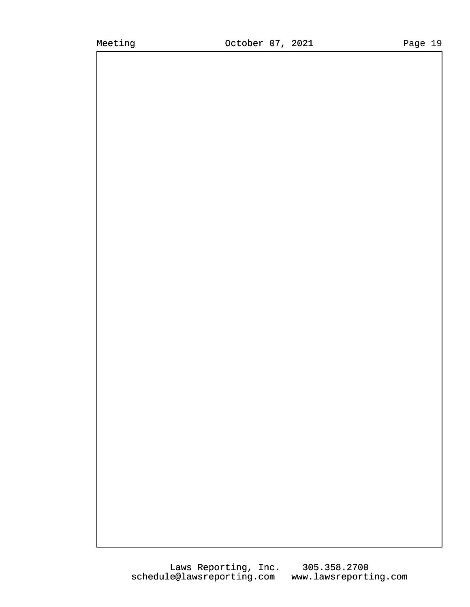|                | Meeting                                            | October 07, 2021                                       | Page 19 |  |
|----------------|----------------------------------------------------|--------------------------------------------------------|---------|--|
| 1              | services that are provided, or does it reflect the |                                                        |         |  |
| $\overline{2}$ |                                                    | contracts that we have, or who we're doing it with?    |         |  |
| 3              |                                                    | MR. HAJ: Great question. I'll ask Bevone to            |         |  |
| 4              | jump in or Juliette to answer more specifically.   |                                                        |         |  |
| 5              |                                                    | MS. FABIEN: Yes. Juliette Fabien with The              |         |  |
| 6              |                                                    | Children's Trust. So what you see, like you cannot     |         |  |
| $\overline{7}$ |                                                    | put cost per child calculation from this reso because  |         |  |
| 8              |                                                    | you don't know the actual, how much money was -- the   |         |  |
| 9              |                                                    | expenditure for the provider, right. Because just      |         |  |
| 10             |                                                    | because you can award a provider \$200,000, but they   |         |  |
| 11             |                                                    | only spent like \$100,000 or \$120,000. So that's when |         |  |
| 12             | you would be able to do the cost per child.        |                                                        |         |  |
| 13             |                                                    | DR. ABRAHAM: I guess, you know, we're saying,          |         |  |
| 14             |                                                    | for example, with the one before, I think there were   |         |  |
| 15             |                                                    | about 1,000 children, here 1,532 slots. So I guess     |         |  |
| 16             |                                                    | part of this would be how many of those slots are      |         |  |
| 17             |                                                    | actually used, then, too. Because it gets to the       |         |  |
| 18             |                                                    | same kind of issue, how much does it cost per child,   |         |  |
| 19             |                                                    | what are the services, how much -- I guess a big       |         |  |
| 20             |                                                    | question is how much are these wonderful programs      |         |  |
| 21             | being used? I assume they're full. I hope.         |                                                        |         |  |
| 22             | MS. FABIEN: So you're talking about                |                                                        |         |  |
| 23             |                                                    | utilization. For this, those are summer 2021. So       |         |  |
| 24             |                                                    | expectation for this summer was at least you need to   |         |  |
| 25             |                                                    | serve 70 percent of your contracted number because we  |         |  |
|                |                                                    |                                                        |         |  |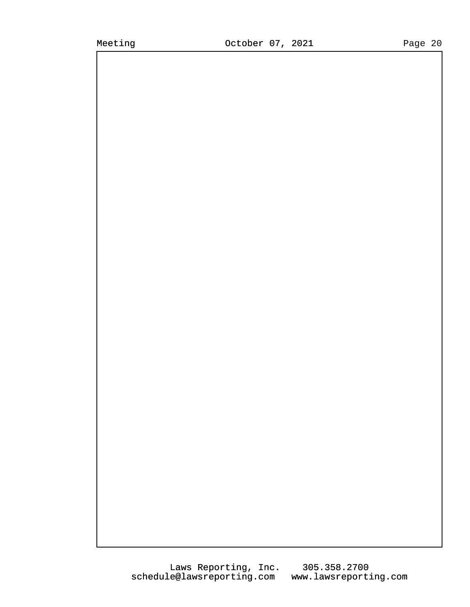|                | Meeting                                               | October 07, 2021                                      | Page 20 |  |
|----------------|-------------------------------------------------------|-------------------------------------------------------|---------|--|
| $\mathbf 1$    | take into consideration what Rachel just explained,   |                                                       |         |  |
| $\overline{2}$ | that we have some at 305 from Miami-Dade County.      |                                                       |         |  |
| 3              | Also, children with disabilities, parents may not     |                                                       |         |  |
| 4              |                                                       | feel comfortable sending them, so the expectation was |         |  |
| 5              | like 70 percent of your contracted amount and most    |                                                       |         |  |
| 6              | providers they exceed that number. So they were       |                                                       |         |  |
| $\overline{7}$ | fully utilized. And then what we do, when we review   |                                                       |         |  |
| 8              | their expenditure, we want to make sure it's in       |                                                       |         |  |
| $9\,$          | alignment with the level of services provided. So if  |                                                       |         |  |
| 10             | you're not serving 100 percent of your kids, you      |                                                       |         |  |
| 11             | cannot spend 100 percent of your contract, right.     |                                                       |         |  |
| 12             |                                                       | DR. ABRAHAM: So, are we looking forward to them       |         |  |
| 13             | being full this summer? you know, we're funding       |                                                       |         |  |
| 14             | them. I hope so. I guess it's also the question if    |                                                       |         |  |
| 15             | they're not filling up, how do we make sure that they |                                                       |         |  |
| 16             | do fill up? Just because they're great programs.      |                                                       |         |  |
| 17             |                                                       | MR. HAJ: Abraham, we are pushing. Last summer         |         |  |
| 18             |                                                       | was kind of unique. People coming back to in-person   |         |  |
| 19             | and all the obstacles that we were facing, we had a   |                                                       |         |  |
| 20             |                                                       | great partnership with Dade County Public Schools to  |         |  |
| 21             |                                                       | really push our programs. You still have parents who  |         |  |
| 22             | are cautious about bringing their kids back for a     |                                                       |         |  |
| 23             | variety of different reasons. I just want Lori to     |                                                       |         |  |
| 24             |                                                       | chime in, I know Lori has her hand up, to answer more |         |  |
| 25             | specifically how do you derive at the costs and what  |                                                       |         |  |
|                |                                                       |                                                       |         |  |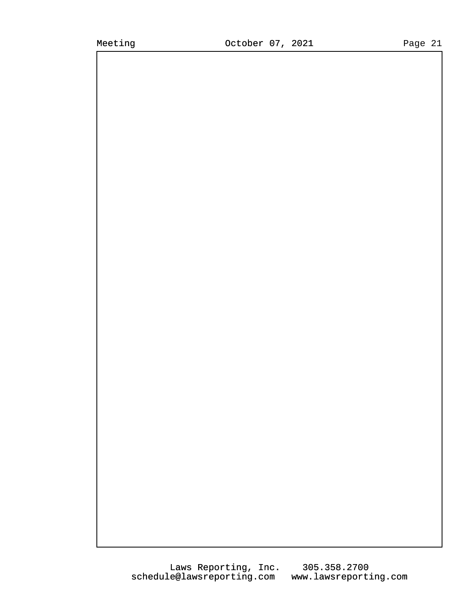|                | October 07, 2021<br>Meeting                           |
|----------------|-------------------------------------------------------|
| $\mathbf{1}$   | services are offered. Lori?                           |
| $\overline{2}$ | MS. HANSON: Yeah, I just think it's an                |
| 3              | important point of clarification that these           |
| 4              | resolutions do not represent the full array of our    |
| 5              | summer camps for elementary, middle and high school   |
| 6              | kids. Many of our programs operate school year        |
| $\overline{7}$ | programs and summer components and you guys have      |
| 8              | approved those earlier this year. They have a full    |
| 9              | year contract term. These come separately because     |
| 10             | they have a six-month contract term. They only        |
| 11             | operate during the summer. So really if you wanted    |
| 12             | to see across our whole initiative, you will need to  |
| 13             | add in those other programs. For example, we          |
| 14             | actually have way more kids in elementary school who  |
| 15             | are in our programs, than we have in middle and high  |
| 16             | school, but it looks the opposite here.               |
| 17             | Also, just to comment back on the question about      |
| 18             | children with disabilities. At our last Ad-Hoc        |
| 19             | Health Committee Meeting, which was a couple years    |
| 20             | back, we did bring an update about how we ask about   |
| 21             | children with disabilities. We brought a data report  |
| 22             | on the breakdown of the types of disabilities kids    |
| 23             | were experiencing and reporting. And we could bring   |
| 24             | another data update to that. The question that we     |
| 25             | ask is -- of parents, is about whether their children |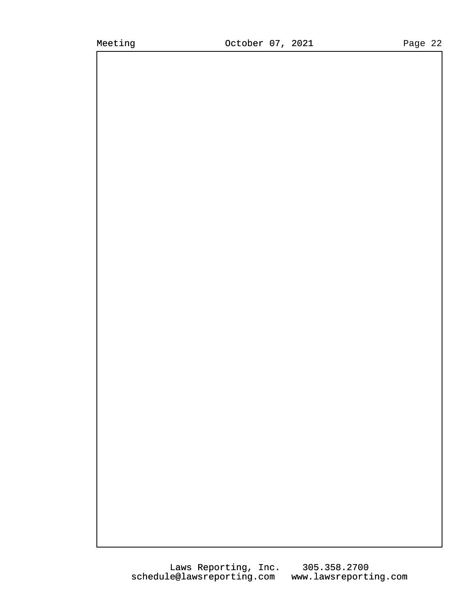|                | Meeting                                               | October 07, 2021                                     | Page 22 |  |
|----------------|-------------------------------------------------------|------------------------------------------------------|---------|--|
| 1              | have any conditions that are expected to last for     |                                                      |         |  |
| 2              | more than a year. And then we have categories that    |                                                      |         |  |
| 3              | we ask them about.                                    |                                                      |         |  |
| 4              |                                                       | And then we also have several questions that try     |         |  |
| 5              | to get at the level of impairment, including asking   |                                                      |         |  |
| 6              | about how the child communicates primarily, what      |                                                      |         |  |
| $\overline{7}$ | types of therapies or services they might be          |                                                      |         |  |
| 8              |                                                       | receiving and what types of accommodations they need |         |  |
| 9              | in the program. So, we have a rich array of data      |                                                      |         |  |
| 10             | that we collect about children with disabilities.     |                                                      |         |  |
| 11             | And then the last point of clarification that I       |                                                      |         |  |
| 12             | just want to offer is that the first reso, as was     |                                                      |         |  |
| 13             | noted, is 100 percent. That's because we don't allow  |                                                      |         |  |
| 14             | any children without disabilities in those programs.  |                                                      |         |  |
| 15             | They are funded as early intervention programs. You   |                                                      |         |  |
| 16             | are required to have a diagnosis to go to one of      |                                                      |         |  |
| 17             |                                                       | those programs. That was funded in that way from the |         |  |
| 18             | beginning to fill the gap of summer time period for   |                                                      |         |  |
| 19             | kids who are in early intervention services, whereas  |                                                      |         |  |
| 20             | the other two, elementary, middle, and high school,   |                                                      |         |  |
| 21             | in B and C, those are general community after-school  |                                                      |         |  |
| 22             | -- I'm sorry, summer programs.                        |                                                      |         |  |
| 23             |                                                       | And so, in those we really are far exceeding the     |         |  |
| 24             | floor of 10 percent with children of disabilities and |                                                      |         |  |
| 25             | really part of the health committees urging, I think  |                                                      |         |  |
|                |                                                       |                                                      |         |  |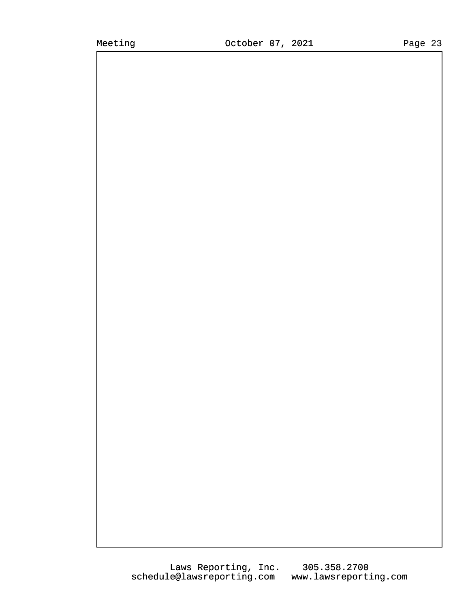|                | Meeting                                               | October 07, 2021 | Page 23 |  |
|----------------|-------------------------------------------------------|------------------|---------|--|
| 1              | after they heard the presentation last time, we       |                  |         |  |
| $\overline{2}$ | actually added additional money for program inclusion |                  |         |  |
| 3              | supports. So I think it would be great to have a      |                  |         |  |
| 4              | follow up report come if we have a future health      |                  |         |  |
| 5              | committee. I think we're thinking about having a      |                  |         |  |
| 6              | future health committee meeting, where we could have  |                  |         |  |
| $\overline{7}$ | a follow up on how that has shifted who is being      |                  |         |  |
| 8              | served from a disabilities perspective.               |                  |         |  |
| $9\,$          | MS. HOLLINGSWORTH: Thank you, Lori.                   |                  |         |  |
| 10             | MR. DUNN: Madam Chair, if I can attempt to            |                  |         |  |
| 11             | speak to Dr. Abraham's question, in terms of if       |                  |         |  |
| 12             | there's a challenge in filling the slots. If it's no  |                  |         |  |
| 13             | conflict, I believe that I perhaps could refer a      |                  |         |  |
| 14             | whole truckload of people that could fill those       |                  |         |  |
| 15             | slots. And I'm not saying that in a derogatory        |                  |         |  |
| 16             | manner, I'm just saying it in a real manner.          |                  |         |  |
| 17             | And then I wanted to, if I'm able to, ask Ms.         |                  |         |  |
| 18             | Tiombe Dunn a question. Does emotional issues         |                  |         |  |
| 19             | constitute disabilities too as well? And I know that  |                  |         |  |
| 20             | question -- we've got a lot of people that deal in    |                  |         |  |
| 21             | that area, so I yield to you, if emotional stuff --   |                  |         |  |
| 22             | because we got many -- I know many children, many     |                  |         |  |
| 23             | middle-aged children, high school children, and even  |                  |         |  |
| 24             | some elementary who dealt with the trauma of gun      |                  |         |  |
| 25             | violence in their families. And that alone, to        |                  |         |  |
|                |                                                       |                  |         |  |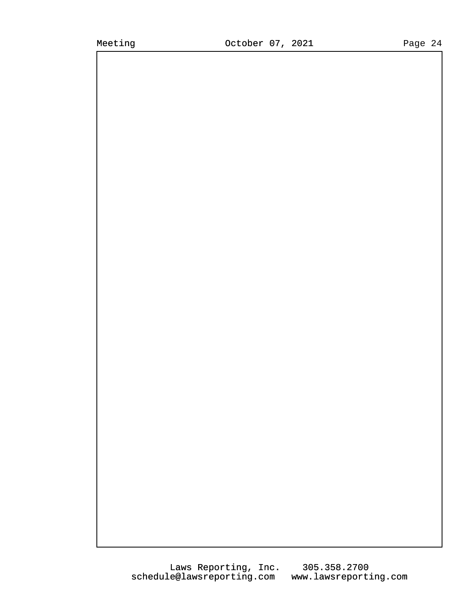|                | Meeting                                             | October 07, 2021                                      | Page 24 |  |
|----------------|-----------------------------------------------------|-------------------------------------------------------|---------|--|
| $\mathbf 1$    | survive some of that, can be life debilitating. And |                                                       |         |  |
| $\overline{2}$ | I've seen it. And they act out because of those     |                                                       |         |  |
| 3              | kinds of things. And I don't know, does that        |                                                       |         |  |
| 4              | constitute? I'm asking all of the psychological     |                                                       |         |  |
| 5              | experts that question. Does emotional stuff,        |                                                       |         |  |
| 6              | emotional trauma, can that have an impact on a      |                                                       |         |  |
| $\overline{7}$ | disability? I don't know.                           |                                                       |         |  |
| 8              |                                                     | MS. KENDRICK-DUNN: I'll just piggy-back. And          |         |  |
| 9              | then you have physicians here, other psychologists. |                                                       |         |  |
| 10             | Because all of us are well-versed in this.          |                                                       |         |  |
| 11             |                                                     | MR. DUNN: Yeah, because I'm just a country            |         |  |
| 12             | preacher.                                           |                                                       |         |  |
| 13             |                                                     | MS. KENDRICK-DUNN: The answer to the question,        |         |  |
| 14             | I mean, clerical staff they counsel too. I          |                                                       |         |  |
| 15             |                                                     | understand there's a whole process. So the answer to  |         |  |
| 16             | the question is, possibly, not always, right. You   |                                                       |         |  |
| 17             | can't put everybody in one basket. So for some      |                                                       |         |  |
| 18             | people -- some people may experience                |                                                       |         |  |
| 19             | emotional/behavioral issues. I'll call it that. In  |                                                       |         |  |
| 20             |                                                     | the school system we don't use the clinical terms in  |         |  |
| 21             | the clinical world, okay, you may say depression,   |                                                       |         |  |
| 22             |                                                     | dysregulation, mood disorder, I don't know. There's   |         |  |
| 23             | a whole bunch of other things.                      |                                                       |         |  |
| 24             | But there is a diagnostic -- there are              |                                                       |         |  |
| 25             |                                                     | diagnostic criterions to meet that and that's to make |         |  |
|                |                                                     |                                                       |         |  |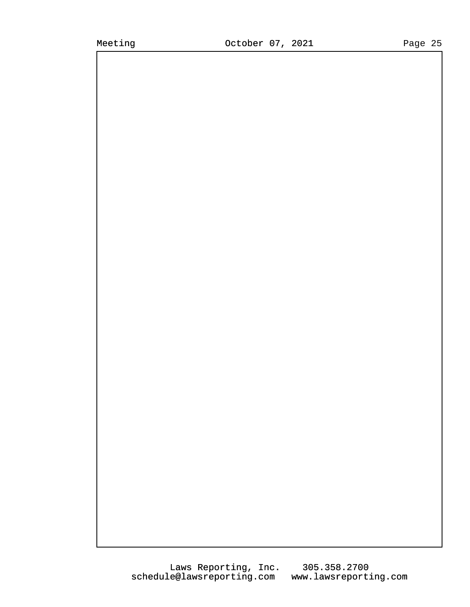|                | Meeting                                               | October 07, 2021                               | Page 25 |  |
|----------------|-------------------------------------------------------|------------------------------------------------|---------|--|
| $\mathbf 1$    | sure that we're safe with the public. Everybody       |                                                |         |  |
| $\overline{2}$ | experiences stress. We don't want to call things      |                                                |         |  |
| 3              | disabilities and disorders without having the proper, |                                                |         |  |
| 4              | meeting the proper criteria. So that, you know, for   |                                                |         |  |
| 5              | children that have, that we know, for example, that   |                                                |         |  |
| 6              | have a history of they're under the care of a         |                                                |         |  |
| $\overline{7}$ | psychiatrist, they're under the care of pediatrician, |                                                |         |  |
| 8              | they're under the care of a neurologist, they're      |                                                |         |  |
| 9              | under the care of a psychologist, they have a history |                                                |         |  |
| 10             | of Baker Acts, they're taking psychotropic            |                                                |         |  |
| 11             | medication. That gives you more -- that means         |                                                |         |  |
| 12             | somewhere -- that would be considered a diagnosis,    |                                                |         |  |
| 13             | you know, a disability, per se, as far as children.   |                                                |         |  |
| 14             |                                                       | MR. DUNN: Okay. Pardon my -- but does ADD fit  |         |  |
| 15             | in that category as well?                             |                                                |         |  |
| 16             |                                                       | MS. KENDRICK-DUNN: We really want to say ADHD. |         |  |
| 17             | AD is more like -- the DSM-5 uses -- I don't know     |                                                |         |  |
| 18             | about the ICD-10 level, but the DSM-5 is ADHD,        |                                                |         |  |
| 19             | Attention deficit/hyperactivity disorder, primarily   |                                                |         |  |
| 20             | inattentive, primarily combined or primarily          |                                                |         |  |
| 21             | hyperactive.                                          |                                                |         |  |
| 22             | MR. DUNN: Yeah, I see it every day.                   |                                                |         |  |
| 23             | DR. BAGNER: I'll just jump in really quickly.         |                                                |         |  |
| 24             | So first of all, it's not -- you're not -- it's not   |                                                |         |  |
| 25             | naïve at all, in fact, you're absolutely right that   |                                                |         |  |
|                |                                                       |                                                |         |  |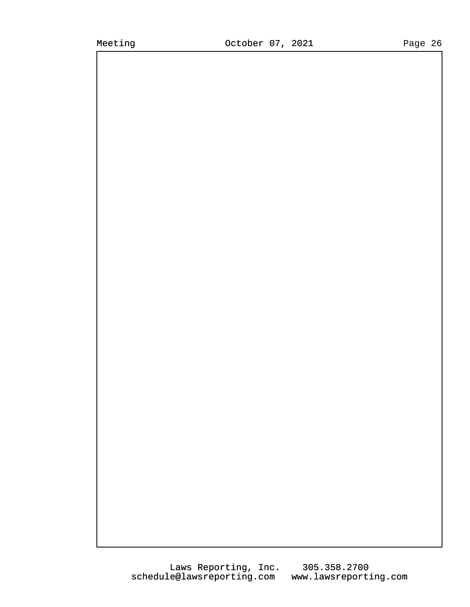|                | Meeting                                               | October 07, 2021                                      | Page 26 |  |
|----------------|-------------------------------------------------------|-------------------------------------------------------|---------|--|
| 1              | these things influence one another, right. So         |                                                       |         |  |
| $\overline{2}$ | behavioral and emotional problems can influence a     |                                                       |         |  |
| 3              | severity of a delay and vice versa. I think what we   |                                                       |         |  |
| 4              | have to think about as a Board, I think when this was |                                                       |         |  |
| 5              | initially implemented, correct me if I'm wrong, I     |                                                       |         |  |
| 6              | think the intention was more toward developmental     |                                                       |         |  |
| 7              | disabilities as intellectual language developmental   |                                                       |         |  |
| 8              | issues.                                               |                                                       |         |  |
| 9              | I think over time it's been broadened. It's not       |                                                       |         |  |
| 10             | necessarily a good or a bad thing, but I think we     |                                                       |         |  |
| 11             | have to -- certainly for the young kids, as Lori was  |                                                       |         |  |
| 12             | saying, its 100 percent for that resolution because   |                                                       |         |  |
| 13             |                                                       | kids needed to have a elevated problems behaviorally  |         |  |
| 14             |                                                       | in order to be in those programs. These programs are  |         |  |
| 15             | more -- for typically developing kids, some of them   |                                                       |         |  |
| 16             | who also have developmental disabilities.             |                                                       |         |  |
| 17             | So I think we have to -- I think it's important       |                                                       |         |  |
| 18             |                                                       | for us as a Committee and a Board to clarify, what do |         |  |
| 19             | we mean by disability? From my perspective, if a      |                                                       |         |  |
| 20             | child has an intellectual disability or developmental |                                                       |         |  |
| 21             | delay, they're also more or likely to have emotional  |                                                       |         |  |
| 22             | and behavioral problems, so we want to think about    |                                                       |         |  |
| 23             | who is the most underserved and at-risk, those are    |                                                       |         |  |
| 24             | the kids, right. The kids that are dealing with both  |                                                       |         |  |
| 25             | challenges developmentally, academically,             |                                                       |         |  |
|                |                                                       |                                                       |         |  |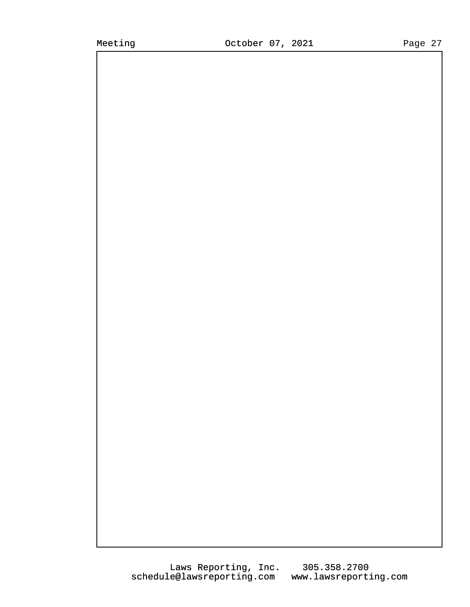|              | Meeting                                             | October 07, 2021                                     | Page 27 |
|--------------|-----------------------------------------------------|------------------------------------------------------|---------|
| $\mathbf{1}$ |                                                     | behaviorally, and of course a lot of these things go |         |
| 2            | together.                                           |                                                      |         |
| 3            |                                                     | But I think we should have a point where we have     |         |
| 4            |                                                     | a discussion as a Board, what does that mean and how |         |
| 5            |                                                     | do we make sure that we're fulfilling all the needs. |         |
| 6            |                                                     | There certainly is a need for more broader support   |         |
| 7            | for all kids, but then we want to have some more    |                                                      |         |
| 8            |                                                     | targeted support where we're really focusing on kids |         |
| 9            | with disabilities and behavioral and emotional      |                                                      |         |
| 10           | challenges.                                         |                                                      |         |
| 11           |                                                     | MS. HOLLINGSWORTH: Thank you, Dan. And as we         |         |
| 12           | move into vote, I'll just point out, Committee      |                                                      |         |
| 13           |                                                     | members, that on your chart, the Nifty program that  |         |
| 14           | is showing zero percent for children with           |                                                      |         |
| 15           | disabilities is actually at eight percent. Just for |                                                      |         |
| 16           |                                                     | your information. Further comments before we move to |         |
| 17           | a vote?                                             |                                                      |         |
| 18           | Hearing none, all those in favor?                   |                                                      |         |
| 19           | ALL: Aye.                                           |                                                      |         |
| 20           |                                                     | MS. HOLLINGSWORTH: Are there any opposed?            |         |
| 21           | <b>Resolution carries.</b>                          |                                                      |         |
| 22           |                                                     | Resolution 2022-D: Authorization to negotiate        |         |
| 23           |                                                     | and execute a match contract with Miami-Dade County  |         |
| 24           |                                                     | for the seventh -- hold on, my picture is blocking.  |         |
| 25           | Hold with me please. Technical difficulties.        |                                                      |         |
|              |                                                     |                                                      |         |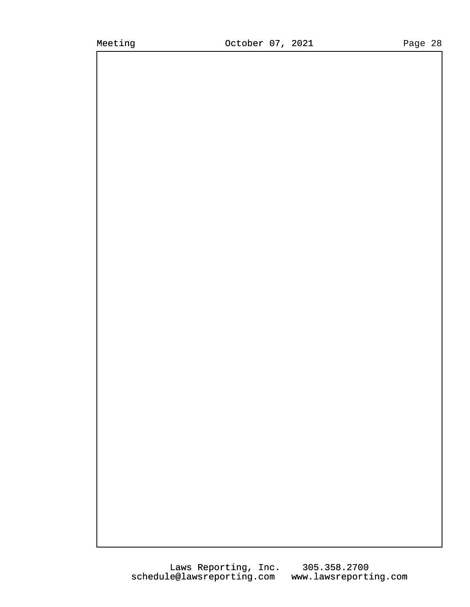|       | Meeting                                                 | October 07, 2021                               | Page 28 |  |
|-------|---------------------------------------------------------|------------------------------------------------|---------|--|
| 1     | With Miami-Dade County for the seventh year of          |                                                |         |  |
| 2     | the Summer Youth Internship Program, in a total         |                                                |         |  |
| 3     | amount not to exceed $$1,500,000.00$ , for a term of 12 |                                                |         |  |
| 4     | months, commencing March 1, 2022, and ending on         |                                                |         |  |
| 5     | February 28, 2023.                                      |                                                |         |  |
| 6     | May I have a motion, please?                            |                                                |         |  |
| 7     |                                                         | MS. BENDROSS-MINDINGALL: Move it, Bendross-    |         |  |
| 8     | Mindingall.                                             |                                                |         |  |
| $9\,$ | MS. HOLLINGSWORTH: Thank you.                           |                                                |         |  |
| 10    | MS. GIMENEZ: Second, Gimenez.                           |                                                |         |  |
| 11    |                                                         | MS. HOLLINGSWORTH: Thank you. Are there any    |         |  |
| 12    | recusals?                                               |                                                |         |  |
| 13    | MR. HAJ: Madam Chair, I'm sorry. Sandra, you            |                                                |         |  |
| 14    | need to recuse from this reso.                          |                                                |         |  |
| 15    | <b>MS. WEST: --</b>                                     |                                                |         |  |
| 16    | MR. HAJ: No, just you for serving on the                |                                                |         |  |
| 17    | <b>Foundation Board.</b>                                |                                                |         |  |
| 18    |                                                         | MS. HOLLINGSWORTH: Okay, thank you. So we have |         |  |
| 19    | one recusal. And then, briefly, as we move into         |                                                |         |  |
| 20    | discussion, the internship program recruits and         |                                                |         |  |
| 21    | subsequently connects rising tenth to rising twelfth    |                                                |         |  |
| 22    | grade students. That includes youth with                |                                                |         |  |
| 23    | disabilities and youth involved in the child welfare    |                                                |         |  |
| 24    | system, who live in Miami-Dade County, with paid        |                                                |         |  |
| 25    | summer internships, with an emphasis on at-risk         |                                                |         |  |
|       |                                                         |                                                |         |  |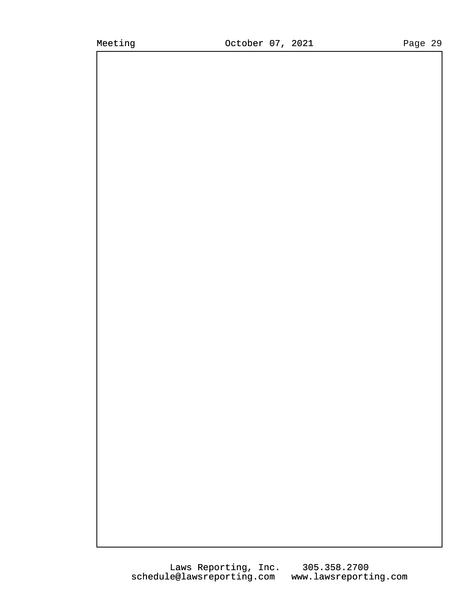|                | Meeting  | October 07, 2021<br>Page 29                           |  |
|----------------|----------|-------------------------------------------------------|--|
| $\mathbf 1$    | youth.   |                                                       |  |
| $\overline{2}$ |          | The program intends to enroll 2,500 interns to        |  |
| 3              |          | work 30 hours weekly for five to six weeks and a      |  |
| 4              |          | stipend of \$1,300. 2,321 youth were placed in 655    |  |
| 5              |          | participating companies with 623 with 26 percent --   |  |
| 6              |          | actually, scratch that 623 and just stay with 26      |  |
| 7              |          | percent with a disability. 99 percent of interns      |  |
| 8              |          | completed the programs, working a total of 369,507    |  |
| 9              |          | hours. Let's see. And for every dollar invested,      |  |
| 10             |          | over \$1.83 was leveraged on behalf of The Children's |  |
| 11             | Trust.   |                                                       |  |
| 12             |          | Committee members, discussion?                        |  |
| 13             |          | MR. DUNN: Madam Chair?                                |  |
| 14             |          | MS. HOLLINGSWORTH: Yes?                               |  |
| 15             |          | MR. DUNN: Question. What is the age threshold         |  |
| 16             |          | for a person qualifying for a youth internship        |  |
| 17             | program? |                                                       |  |
| 18             |          | MR. HAJ: From 10th to 12th.                           |  |
| 19             |          | MR. DUNN: From 10th to 12th, okay. I think I          |  |
| 20             |          | raised this question last year and I -- its because I |  |
| 21             |          | didn't follow up, what efforts, and I guess this      |  |
| 22             |          | question will be addressed to the staff, are being    |  |
| 23             |          | made to perhaps seek out some of the perspective      |  |
| 24             |          | youth from some of our inner city schools? I.E.,      |  |
| 25             |          | Miami Northwestern, Miami Central, Miami Jackson,     |  |
|                |          |                                                       |  |

I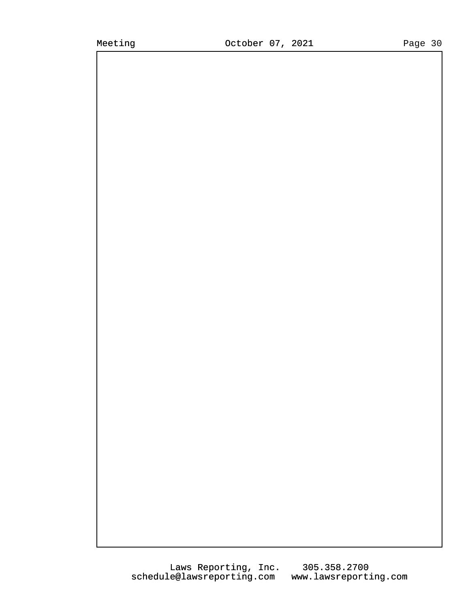|                | Meeting                                               | October 07, 2021 | Page 30 |  |
|----------------|-------------------------------------------------------|------------------|---------|--|
| 1              | Miami Edison. I don't want to leave anybody out.      |                  |         |  |
| 2              | Miami, Carol City, North Miami Central.               |                  |         |  |
| 3              | Because this is a wonderful program and the way       |                  |         |  |
| 4              | I see it, it could be a building block for a future   |                  |         |  |
| 5              | opportunity for kid who goes in and applies           |                  |         |  |
| 6              | themselves, demonstrates good job readiness,          |                  |         |  |
| $\overline{7}$ | qualities, and seriousness. It could open the door    |                  |         |  |
| 8              | further down the road for a profession. So I just --  |                  |         |  |
| $9\,$          | counselors and some of those said schools being       |                  |         |  |
| 10             | sought out to perhaps make this opportunity available |                  |         |  |
| 11             | to some of their students who would qualify for this  |                  |         |  |
| 12             | wonderful internship.                                 |                  |         |  |
| 13             | MR. HAJ: Absolutely, Pastor. We had -- we have        |                  |         |  |
| 14             | a person at every school. We could also send you the  |                  |         |  |
| 15             | breakdown of where the schools are participating and  |                  |         |  |
| 16             | the number of kids in each school. But all those      |                  |         |  |
| 17             | schools that you mentioned, we have an individual     |                  |         |  |
| 18             | inside the school working through -- with these kids. |                  |         |  |
| 19             | Not only recruiting them, but also walking them       |                  |         |  |
| 20             | through the process, hand-holding them, making sure,  |                  |         |  |
| 21             | monitoring throughout the summer to get this done.    |                  |         |  |
| 22             | Because as you pointed out, these kids, one, they're  |                  |         |  |
| 23             | off the streets. They're in jobs. They're learning    |                  |         |  |
| 24             | job skills. And people hire who they know.            |                  |         |  |
| 25             | So usually -- these kids also get picked up.          |                  |         |  |
|                |                                                       |                  |         |  |

I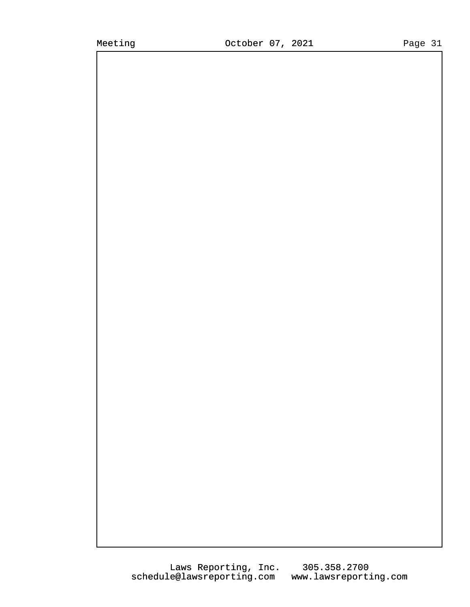|                | Meeting                                              | October 07, 2021                                      | Page 31 |  |
|----------------|------------------------------------------------------|-------------------------------------------------------|---------|--|
| 1              |                                                      | But we'll be happy to send you the chart of where the |         |  |
| $\overline{2}$ |                                                      | kids are coming from, what schools they're at, and we |         |  |
| 3              |                                                      | have a couple of graphs that we can forward to you to |         |  |
| 4              | try to get into the board packet for next year.      |                                                       |         |  |
| 5              | Monday's board meeting.                              |                                                       |         |  |
| 6              | MR. DUNN: Okay, thank you so much.                   |                                                       |         |  |
| $\overline{7}$ | MS. HOLLINGSWORTH: Thank you.                        |                                                       |         |  |
| 8              |                                                      | DR. BENDROSS-MINDINGALL: Madam Chair?                 |         |  |
| $9\,$          |                                                      | MS. HOLLINGSWORTH: Yes, Dr. Bendross-Mindingall       |         |  |
| 10             | and then --                                          |                                                       |         |  |
| 11             |                                                      | DR. BENDROSS-MINDINGALL: I would like to have a       |         |  |
| 12             | copy of that, which I believe it was Jim who was     |                                                       |         |  |
| 13             |                                                      | going to send to Pastor Dunn. And also, I have a      |         |  |
| 14             | question: is it a conflict of interest for children  |                                                       |         |  |
| 15             | to be assigned to members of The Trust?              |                                                       |         |  |
| 16             |                                                      | MR. HAJ: No, we have approximately six interns        |         |  |
| 17             | every year.                                          |                                                       |         |  |
| 18             |                                                      | DR. BENDROSS-MINDINGALL: So if I wanted an            |         |  |
| 19             | intern -- through the Chair -- if I wanted an intern |                                                       |         |  |
| 20             | would that be made available, Jim?                   |                                                       |         |  |
| 21             |                                                      | MR. HAJ: Yeah, I'm sorry, I misunderstood the         |         |  |
| 22             |                                                      | question. So, The Trust, we pick up six interns, but  |         |  |
| 23             | we will send the board the link to the interns. So   |                                                       |         |  |
| 24             | we are always looking for employers. That's the      |                                                       |         |  |
| 25             |                                                      | biggest need right now, especially during COVID, is   |         |  |
|                |                                                      |                                                       |         |  |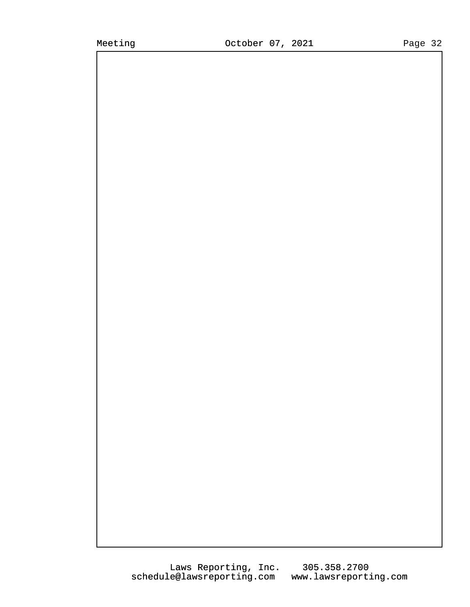|                | Meeting                                               | October 07, 2021                               | Page 32 |  |
|----------------|-------------------------------------------------------|------------------------------------------------|---------|--|
| $\mathbf 1$    | getting employers back on board to hire these youth.  |                                                |         |  |
| $\overline{2}$ | So, Dr. Bendross-Mindingall, we'll send you the link, |                                                |         |  |
| 3              | you can go on there and request an intern, as well as |                                                |         |  |
| 4              | share it to others who may --                         |                                                |         |  |
| 5              | DR. BENDROSS-MINDINGALL: Oh my.                       |                                                |         |  |
| 6              | MR. HAJ: -- want an intern.                           |                                                |         |  |
| 7              | DR. BENDROSS-MINDINGALL: Oh my. Through the           |                                                |         |  |
| 8              | Chair.                                                |                                                |         |  |
| 9              | MS. HOLLINGSWORTH: Thank you.                         |                                                |         |  |
| 10             |                                                       | DR. BENDROSS-MINDINGALL: I'm going to announce |         |  |
| 11             | this, through the -- if that's okay, for me to        |                                                |         |  |
| 12             | announce it to my colleagues. I'm sure they would be  |                                                |         |  |
| 13             | happy to employ some of our wonderful students.       |                                                |         |  |
| 14             | Thank you very much.                                  |                                                |         |  |
| 15             |                                                       | MS. HOLLINGSWORTH: Thank you. Thank you. Mr.   |         |  |
| 16             | Diaz-Herman.                                          |                                                |         |  |
| 17             | MR. DIAZ-HERMAN: Yeah, I'm sorry, perhaps this        |                                                |         |  |
| 18             | was discussed in prior meetings, but I'm curious, if  |                                                |         |  |
| 19             | I'm doing the math correctly, we're compensating      |                                                |         |  |
| 20             | these interns about \$8.66 an hour. Is that legal,    |                                                |         |  |
| 21             | now that minimum wage has increased to ten dollars?   |                                                |         |  |
| 22             | MR. HAJ: Yeah, I'll ask Natalia to go ahead and       |                                                |         |  |
| 23             | answer that.                                          |                                                |         |  |
| 24             | MS. ZEA: Thank you. Actually, the                     |                                                |         |  |
| 25             | collaboration, as this program is operated by Miami-  |                                                |         |  |
|                |                                                       |                                                |         |  |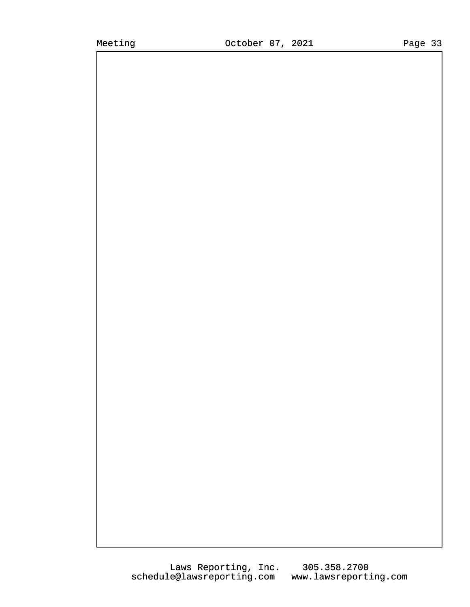|                | Meeting                              | October 07, 2021                                      | Page 33 |  |
|----------------|--------------------------------------|-------------------------------------------------------|---------|--|
| 1              |                                      | Dade County Public Schools, we've been in discussions |         |  |
| $\overline{2}$ |                                      | on that very point and the stipend is being looked at |         |  |
| 3              | for the upcoming year.               |                                                       |         |  |
| 4              |                                      | MS. HOLLINGSWORTH: Thank you.                         |         |  |
| 5              | MS. GIMENEZ: Madam Chair?            |                                                       |         |  |
| 6              | MS. HOLLINGSWORTH: Yes.              |                                                       |         |  |
| 7              |                                      | MS. GIMENEZ: I have -- piggy-backing on Pastor        |         |  |
| 8              |                                      | Dunn's question regarding is there someone at the     |         |  |
| 9              |                                      | school sites helping the children. And I know that    |         |  |
| 10             |                                      | our president responded and they help them through    |         |  |
| 11             |                                      | the process, et cetera. Do they also do any type of   |         |  |
| 12             |                                      | training, these students, before they actually enter  |         |  |
| 13             | into that summer internship program? |                                                       |         |  |
| 14             |                                      | MR. HAJ: Absolutely. You have the training and        |         |  |
| 15             |                                      | you also have probably the most critical piece of     |         |  |
| 16             |                                      | this, too, well aside from the exposure, is also      |         |  |
| 17             |                                      | training on financial literacy for these youth.       |         |  |
| 18             | MS. GIMENEZ: Oh yes.                 |                                                       |         |  |
| 19             |                                      | MR. HAJ: Natalia, do you want to touch on the         |         |  |
| 20             | training portion?                    |                                                       |         |  |
| 21             |                                      | MS. ZEA: Sure. As part of the program, there          |         |  |
| 22             |                                      | are prerequisites. Including -- it's a course called  |         |  |
| 23             |                                      | Odysseyware and it prepares these student interns so  |         |  |
| 24             |                                      | that when they enter the environment, they're ready   |         |  |
| 25             |                                      | to go and they feel fully prepared on soft skills,    |         |  |
|                |                                      |                                                       |         |  |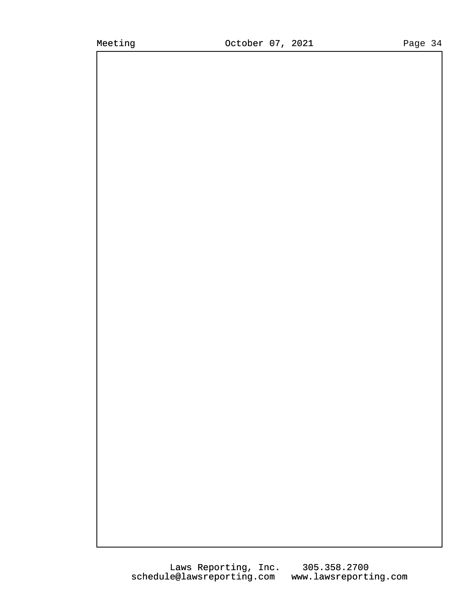|                | Meeting                                               | October 07, 2021                               | Page 34 |  |
|----------------|-------------------------------------------------------|------------------------------------------------|---------|--|
| $\mathbf 1$    | which is included in that course.                     |                                                |         |  |
| 2              | MS. GIMENEZ: So, this training that you have is       |                                                |         |  |
| 3              | offered exactly the same way or given to all the      |                                                |         |  |
| 4              | schools so that they all have the same training at    |                                                |         |  |
| 5              | all the school sites?                                 |                                                |         |  |
| 6              | MS. ZEA: Yes, ma'am.                                  |                                                |         |  |
| $\overline{7}$ | MS. GIMENEZ: Perfect. Thank you.                      |                                                |         |  |
| 8              |                                                       | MS. HOLLINGSWORTH: Thank you. Tiombe, you were |         |  |
| 9              | leaning in, do you have a question?                   |                                                |         |  |
| 10             |                                                       | MS. KENDRICK-DUNN: Yes. Going back to Pastor   |         |  |
| 11             | Dunn's question. So, I'm going to take it a little    |                                                |         |  |
| 12             | bit further. Besides asking about the schools that    |                                                |         |  |
| 13             | are maybe in the urban core, I think is how he        |                                                |         |  |
| 14             | usually phrases it, are we pulling children from some |                                                |         |  |
| 15             | of our alternative sites? So, I'm thinking about      |                                                |         |  |
| 16             | schools like our Hope Center, Jan Mann, Mac Arthur,   |                                                |         |  |
| 17             | I'm just -- I'll leave EJJ out because that's a       |                                                |         |  |
| 18             | little different, but for these other alternative     |                                                |         |  |
| 19             | schools that house some of the students at this age,  |                                                |         |  |
| 20             | are we making sure that these children are also being |                                                |         |  |
| 21             | -- that this opportunity is open to them.             |                                                |         |  |
| 22             | I think it's important to remember that besides       |                                                |         |  |
| 23             | your traditional schools we do have a number of       |                                                |         |  |
| 24             | alternative schools and, you know, sometimes some of  |                                                |         |  |
| 25             | the students that are at these schools can -- may be  |                                                |         |  |
|                |                                                       |                                                |         |  |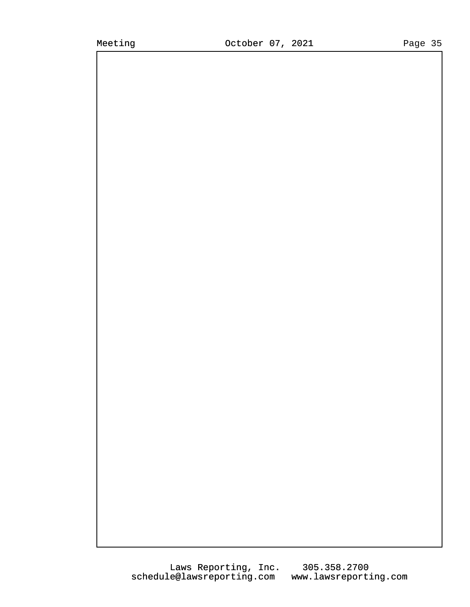|                | Meeting                                       | October 07, 2021                                      | Page 35 |
|----------------|-----------------------------------------------|-------------------------------------------------------|---------|
| 1              |                                               | more challenging, but nonetheless, their lives are    |         |
| $\overline{2}$ |                                               | just as worthy as our children at traditional schools |         |
| 3              |                                               | and opportunities should be open to these children.   |         |
| 4              |                                               | These are a lot of times, more often than not,        |         |
| 5              |                                               | statistically where you may see more of the students  |         |
| 6              |                                               | that, you know, might drop out. They don't always,    |         |
| $\overline{7}$ |                                               | but I'm saying, might. You know, they're definitely   |         |
| 8              |                                               | at higher risk of dropping out, substance abuse, and  |         |
| 9              | other issues.                                 |                                                       |         |
| 10             |                                               | So, I wanted to ask that and then I think the         |         |
| 11             |                                               | terminology in this reso, at-risk is used, and so I   |         |
| 12             |                                               | want to understand, when we say "at-risk", what does  |         |
| 13             |                                               | that mean? Are we talking about children that         |         |
| 14             |                                               | experience economic modulization, housing and         |         |
| 15             |                                               | security, you know, immigrant status, languages,      |         |
| 16             |                                               | English not their first language, children who are in |         |
| 17             |                                               | alternative schools. So like what is the definition?  |         |
| 18             |                                               | Being a mother at a young age, right. Like our Hope   |         |
| 19             | Centers. So, I'm just wanting to know that.   |                                                       |         |
| 20             |                                               | And then the last one, disabilities. For this         |         |
| 21             |                                               | reso, I know that we have students represented with   |         |
| 22             | disabilities. I'm interested in knowing which |                                                       |         |
| 23             |                                               | disabilities are represented so we could have a       |         |
| 24             | better understanding which ones are not.      |                                                       |         |
| 25             |                                               | MR. HAJ: Yeah, I'm going to have -- Natalia,          |         |
|                |                                               |                                                       |         |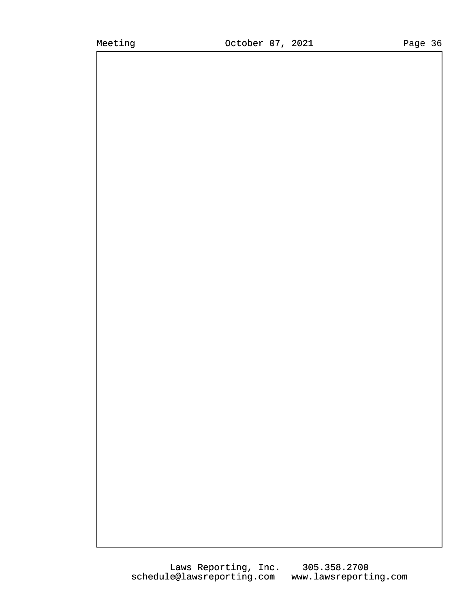|                | Meeting                                               | October 07, 2021                                | Page 36 |  |
|----------------|-------------------------------------------------------|-------------------------------------------------|---------|--|
| 1              | you're going to have to help me out with a couple of  |                                                 |         |  |
| $\overline{2}$ | these questions. So, the Board, a couple of years     |                                                 |         |  |
| 3              | ago, we had talked about reaching out to our at-risk  |                                                 |         |  |
| 4              | groups considering the schools you mentioned, as well |                                                 |         |  |
| 5              | as foster care youth, there was a big portion about   |                                                 |         |  |
| 6              | foster care youth and making sure we assist that      |                                                 |         |  |
| $\overline{7}$ | transition. So we've been working with Citrus and     |                                                 |         |  |
| 8              | doing an outreach effort for foster care with         |                                                 |         |  |
| 9              | students with disabilities.                           |                                                 |         |  |
| 10             | And I want to answer, yes, about the success          |                                                 |         |  |
| 11             | centers and at-risk centers, specify centers you      |                                                 |         |  |
| 12             | mentioned, but I'm not sure if Natalia knows the      |                                                 |         |  |
| 13             | answer or we could get back to you on that to see if  |                                                 |         |  |
| 14             | we have somebody there.                               |                                                 |         |  |
| 15             |                                                       | MS. ZEA: We actually have Robert Quinn, who has |         |  |
| 16             | raised his hand on the line, and he oversees directly |                                                 |         |  |
| 17             | the program, including the recruitment efforts and    |                                                 |         |  |
| 18             | the way that that data is tracked by the school       |                                                 |         |  |
| 19             | system. It's probably best that he answer that        |                                                 |         |  |
| 20             | directly.                                             |                                                 |         |  |
| 21             | MS. KENDRICK-DUNN: Thank you.                         |                                                 |         |  |
| 22             |                                                       | MS. HOLLINGSWORTH: Is someone's hand up? Okay,  |         |  |
| 23             | further questions, observations?                      |                                                 |         |  |
| 24             | MR. QUINN: Can --                                     |                                                 |         |  |
| 25             |                                                       | MS. HOLLINGSWORTH: Robert, okay, we're waiting  |         |  |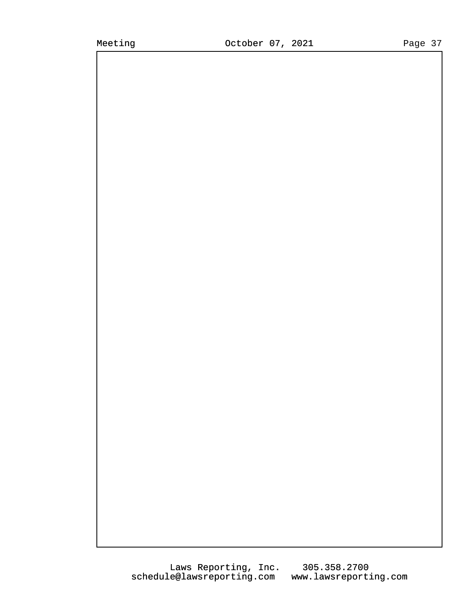|                | Meeting                                               | October 07, 2021 | Page 37 |  |
|----------------|-------------------------------------------------------|------------------|---------|--|
| $\mathbf 1$    | on $-$                                                |                  |         |  |
| $\overline{2}$ | MR. QUINN: Can I speak on that item?                  |                  |         |  |
| 3              | MS. HOLLINGSWORTH: Yes, please.                       |                  |         |  |
| 4              | MR. QUINN: It is offered to all schools in            |                  |         |  |
| 5              | Miami-Dade Public Schools, even the alternative       |                  |         |  |
| 6              | schools. It's harder to get the alternative students  |                  |         |  |
| $\overline{7}$ | to apply and go into the program. But it is offered.  |                  |         |  |
| 8              | The Odysseyware -- as Ms. Zea said, the Odysseyware   |                  |         |  |
| $9\,$          | teaches them pre-employment skills so that they're    |                  |         |  |
| 10             | ready once they get to their job location. They --    |                  |         |  |
| 11             | the students with disabilities that would be -- they  |                  |         |  |
| 12             | would be signified as an ESC student in Dade County   |                  |         |  |
| 13             | Public Schools. If you want to get a breakdown, we    |                  |         |  |
| 14             | could try to find, try to get you a breakdown of what |                  |         |  |
| 15             | disabilities each of them had of the 26 percent that  |                  |         |  |
| 16             | we had this past year.                                |                  |         |  |
| 17             | What was the other questions? I'm sorry.              |                  |         |  |
| 18             | MS. KENDRICK-DUNN: Thank you for that                 |                  |         |  |
| 19             | information. I think that mostly answered the         |                  |         |  |
| 20             | question. So I do -- I would like the breakdown of    |                  |         |  |
| 21             | the disabilities represented. But also, you           |                  |         |  |
| 22             | mentioned, and thank you for mentioning this, that    |                  |         |  |
| 23             | all schools, so for the alternative sites in Miami-   |                  |         |  |
| 24             | Dade County, I would like to know the number of       |                  |         |  |
| 25             | students represented at those sites. Hope Centers,    |                  |         |  |
|                |                                                       |                  |         |  |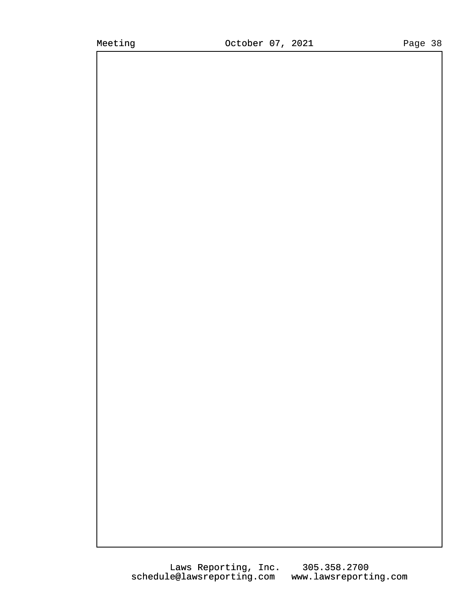|                | Meeting                                               | October 07, 2021 | Page 38 |  |
|----------------|-------------------------------------------------------|------------------|---------|--|
| $\mathbf{1}$   | the Jan Mann's, the sites where, you know, the stand  |                  |         |  |
| $\overline{2}$ | alone sites like Creuse, Robert Renick, because I     |                  |         |  |
| 3              | think that -- I just want to make sure that we're     |                  |         |  |
| 4              | not, you know, we're not -- unintentionally excluding |                  |         |  |
| 5              | any students at that -- you know, and these kids, I   |                  |         |  |
| 6              | know, you're right, it can be more difficult to get   |                  |         |  |
| 7              | them to apply. But if that's the sole -- if that's    |                  |         |  |
| 8              | the case, then maybe we have to, maybe, spend some    |                  |         |  |
| 9              | time with those students and maybe communities and    |                  |         |  |
| 10             | asking why. Because there definitely is a reason      |                  |         |  |
| 11             | why. And maybe we can figure that out.                |                  |         |  |
| 12             | But, you know, those children, they're                |                  |         |  |
| 13             | definitely -- when you talk about high-risk, the fact |                  |         |  |
| 14             | that they're over at alternative sites, let you know  |                  |         |  |
| 15             | that they're high-risk. That's why they're there.     |                  |         |  |
| 16             | MR. DUNN: Amen.                                       |                  |         |  |
| 17             | MS. HOLLINGSWORTH: Yes.                               |                  |         |  |
| 18             | MR. DUNN: Madam Chair, just very quickly.             |                  |         |  |
| 19             | MS. HOLLINGSWORTH: Yes, Reverend.                     |                  |         |  |
| 20             | MR. DUNN: And I want to thank Robert. And I           |                  |         |  |
| 21             | have to say this, and I know sometimes sound mushy,   |                  |         |  |
| 22             | but it's from the heart. I really appreciate being a  |                  |         |  |
| 23             | part of this board because it's such a well           |                  |         |  |
| 24             | roundedness that you see and it's several, multiple   |                  |         |  |
| 25             | perspectives. Which helps you to grow into develop    |                  |         |  |
|                |                                                       |                  |         |  |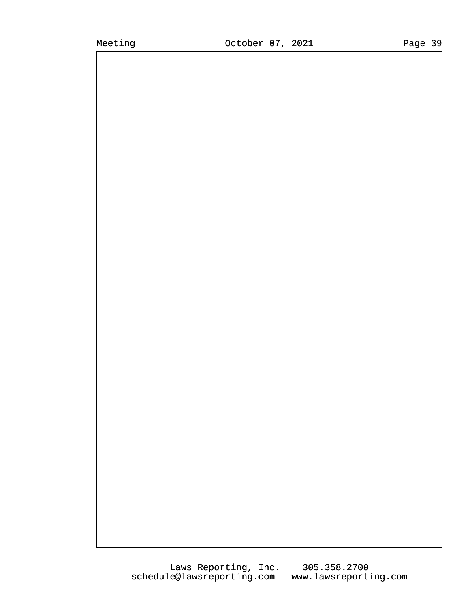|                | Meeting                                             | October 07, 2021                              | Page 39 |  |
|----------------|-----------------------------------------------------|-----------------------------------------------|---------|--|
| 1              | and expand. When I was in seminary, years ago, for  |                                               |         |  |
| $\overline{2}$ | the first time, the seminary that I intended was    |                                               |         |  |
| 3              | called the Interdenominational Theological Seminary |                                               |         |  |
| 4              | in Atlanta. Centered in Atlanta. And one of our     |                                               |         |  |
| 5              | mottos was diversity is our strength. And that's    |                                               |         |  |
| 6              | what I see, if I may, I'm not trying to sound mushy |                                               |         |  |
| $\overline{7}$ | or preachy, but I can really appreciate the round   |                                               |         |  |
| 8              | roundedness and the different perspectives. The     |                                               |         |  |
| 9              | different angles. The different cultures. But yet,  |                                               |         |  |
| 10             | maintain the same level of respectability. And at   |                                               |         |  |
| 11             | every meeting, almost, that I attend I learn        |                                               |         |  |
| 12             | something new.                                      |                                               |         |  |
| 13             | But once again, I'm going to say this, if there     |                                               |         |  |
| 14             | is a lack of interest and you don't have enough     |                                               |         |  |
| 15             | participants, if it's not a conflict of interest. I |                                               |         |  |
| 16             | can provide for you a truck load of individuals to  |                                               |         |  |
| 17             | fill those slots.                                   |                                               |         |  |
| 18             |                                                     | MS. HOLLINGSWORTH: No doubt. Thank you. Thank |         |  |
| 19             | you, Reverend.                                      |                                               |         |  |
| 20             | Further discussion before vote, Committee           |                                               |         |  |
| 21             | members? Hearing none, all those in favor?          |                                               |         |  |
| 22             | ALL: Aye.                                           |                                               |         |  |
| 23             |                                                     | MS. HOLLINGSWORTH: Are there any opposed? The |         |  |
| 24             | resolution carries.                                 |                                               |         |  |
| 25             | Resolution 2022-E: Authorization to negotiate       |                                               |         |  |
|                |                                                     |                                               |         |  |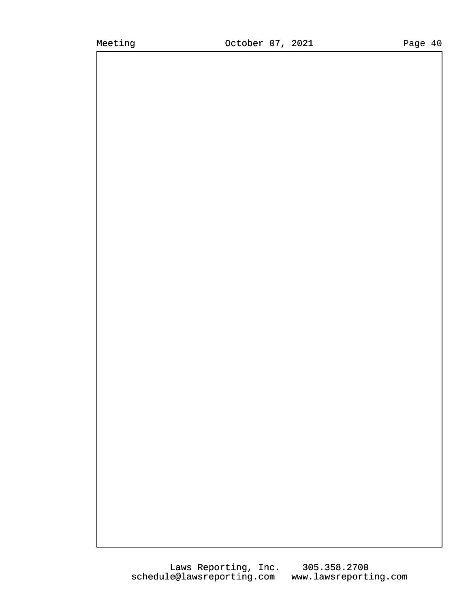|              | Meeting                                               | October 07, 2021                                      | Page 40 |  |
|--------------|-------------------------------------------------------|-------------------------------------------------------|---------|--|
| $\mathbf{1}$ | and execute a contract with Miami-Dade County for the |                                                       |         |  |
| 2            | HERO truancy prevention program, a component of the   |                                                       |         |  |
| 3            | Case Management Referral Program, in a total amount   |                                                       |         |  |
| 4            | not to exceed \$880,000.00, for a term of 12 months,  |                                                       |         |  |
| 5            | commencing August 1, 2022, and ending July 31, 2023.  |                                                       |         |  |
| 6            | May I have a motion, please?                          |                                                       |         |  |
| 7            | DR. ABRAHAM: So moved.                                |                                                       |         |  |
| 8            |                                                       | MS. HOLLINGSWORTH: Thank you. And a second?           |         |  |
| $9\,$        |                                                       | DR. BENDROSS-MINDINGALL: Second, Bendross-            |         |  |
| 10           | Mindigall.                                            |                                                       |         |  |
| 11           |                                                       | MS. HOLLINGSWORTH: Thank you. Are there any           |         |  |
| 12           | recusals? Hearing none, we'll move into discussion.   |                                                       |         |  |
| 13           | And I'll point out that services provided for         |                                                       |         |  |
| 14           | truancy services with this funding will support more  |                                                       |         |  |
| 15           | than 14,500 elementary school children with chronic,  |                                                       |         |  |
| 16           |                                                       | unexcused absences across 39 Miami-Dade County Public |         |  |
| 17           | Schools. And during the last school year, 54 percent  |                                                       |         |  |
| 18           | of students showed increase attendance percentage     |                                                       |         |  |
| 19           | when comparing their pre-post. 1,356 families         |                                                       |         |  |
| 20           | participated in truancy child study team meetings     |                                                       |         |  |
| 21           | with 169 were no shows. And also, an array of follow  |                                                       |         |  |
| 22           | up services were performed. Including, parent         |                                                       |         |  |
| 23           | conferences, home visits, coordinating of services,   |                                                       |         |  |
| 24           | as well as letters. And there were no court           |                                                       |         |  |
| 25           | appearances.                                          |                                                       |         |  |
|              |                                                       |                                                       |         |  |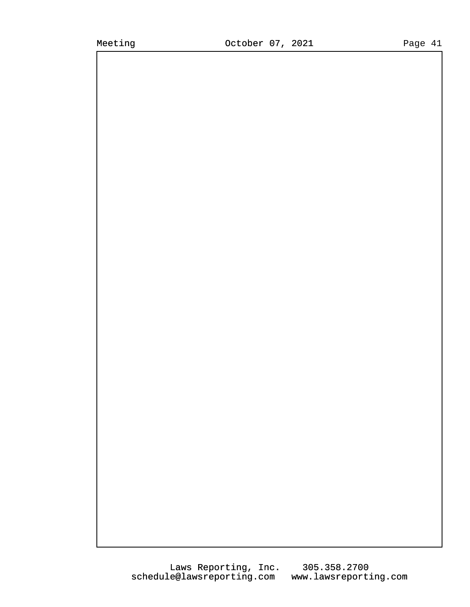|    | Meeting                                        | October 07, 2021                                     | Page 41 |
|----|------------------------------------------------|------------------------------------------------------|---------|
| 1  |                                                | Questions, observations, Committee members?          |         |
| 2  | Hearing none. All those in favor?              |                                                      |         |
| 3  | ALL: Aye.                                      |                                                      |         |
| 4  |                                                | MS. HOLLINGSWORTH: Are there any opposed? The        |         |
| 5  | resolution carries.                            |                                                      |         |
| 6  |                                                | And our final resolution for this afternoon.         |         |
| 7  |                                                | Resolution 2022-F: Authorization to renew a          |         |
| 8  | funder collaboration contract with The Miami   |                                                      |         |
| 9  |                                                | Foundation, as the fiscal agent for Miami Connected, |         |
| 10 |                                                | in a total amount not to exceed \$150,000.00 for a   |         |
| 11 |                                                | term of 12 months, commencing retroactively on       |         |
| 12 |                                                | October 1, 2021, and ending September 30, 2022.      |         |
| 13 | May I have a motion, please?                   |                                                      |         |
| 14 | MS. KENDRICK-DUNN: So moved.                   |                                                      |         |
| 15 |                                                | MS. HOLLINGSWORTH: And a second?                     |         |
| 16 | DR. BAGNER: Second, Bagner.                    |                                                      |         |
| 17 |                                                | MS. HOLLINGSWORTH: Are there any recusals?           |         |
| 18 | Okay, no recusals.                             |                                                      |         |
| 19 |                                                | Let's move into discussion. As you know, Miami       |         |
| 20 |                                                | Connected offers no-cost broadband internet to the   |         |
| 21 |                                                | families of eligible students. And those students    |         |
| 22 |                                                | are eligible if they attend a Title I school and/or  |         |
| 23 |                                                | qualify for free or reduced price lunch, which is a  |         |
| 24 | designation that applies to public charter and |                                                      |         |
| 25 |                                                | nonprivate school -- and non-profit private schools. |         |
|    |                                                |                                                      |         |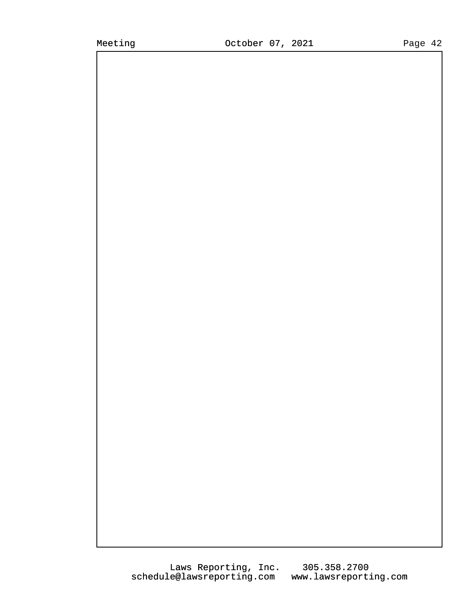|                | Meeting   | October 07, 2021                                      | Page 42 |  |
|----------------|-----------|-------------------------------------------------------|---------|--|
| 1              |           | Miami Connected endeavors to collectively ensure      |         |  |
| $\overline{2}$ |           | that all children in Miami-Dade have online access to |         |  |
| 3              |           | support a strong fulfilling education. Thus far,      |         |  |
| 4              |           | 11.3 million has been raised with 13 funding partners |         |  |
| 5              |           | and 11 implementation partners. 11,000 students have  |         |  |
| 6              |           | been reached with 670 signed up for the program.      |         |  |
| $\overline{7}$ |           | And you'll see a table in your packet that was        |         |  |
| 8              |           | the funders were involved and the remaining funds are |         |  |
| 9              |           | expected to be raised from additional funding         |         |  |
| 10             | partners. |                                                       |         |  |
| 11             |           | Questions? Comments about this resolution?            |         |  |
| 12             |           | DR. BAGNER: Madam Chair, if I may?                    |         |  |
| 13             |           | MS. HOLLINGSWORTH: Yes.                               |         |  |
| 14             |           | DR. BAGNER: I think this is a great initiative.       |         |  |
| 15             |           | I think the partnering to get the funds, to get       |         |  |
| 16             |           | broadband connectivity to underserved communities I   |         |  |
| 17             |           | incredibly important. One thing I did talk with Lori  |         |  |
| 18             |           | about and I wanted to bring up with the Committee.    |         |  |
| 19             |           | It does talk in the resolution about increasing --    |         |  |
| 20             |           | not just increasing access, but also teaching         |         |  |
| 21             |           | literacy skills around using the internet, which I    |         |  |
| 22             |           | think is incredibly important. But what also is       |         |  |
| 23             |           | important is providing information and knowledge      |         |  |
| 24             |           | about parents to use the internet safely and          |         |  |
| 25             |           | appropriately with their kids. So I strongly          |         |  |
|                |           |                                                       |         |  |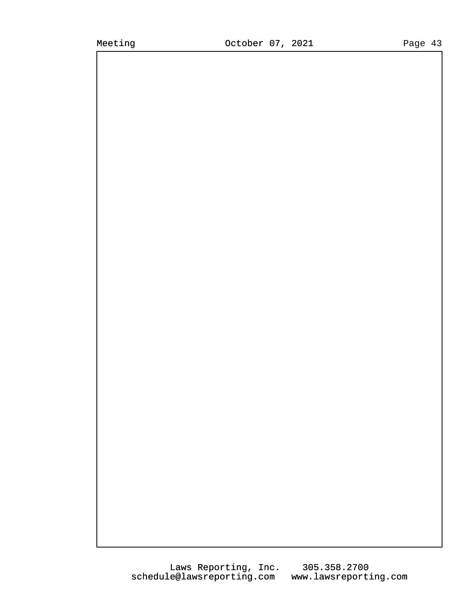|                | Meeting                                               | October 07, 2021                                 | Page 43 |  |
|----------------|-------------------------------------------------------|--------------------------------------------------|---------|--|
| 1              | encourage that we implement some strategies around    |                                                  |         |  |
| $\overline{2}$ | screen time, around appropriate screen time and those |                                                  |         |  |
| 3              | sorts of things.                                      |                                                  |         |  |
| 4              | MS. HOLLINGSWORTH: Thank you, Dan.                    |                                                  |         |  |
| 5              |                                                       | MS. KENDRICK-DUNN: And I just want to comment.   |         |  |
| 6              | I agree 100 percent, 150 percent with Dr. Bagner.     |                                                  |         |  |
| $\overline{7}$ | This is a phenomenal resolution. I mean, definitely   |                                                  |         |  |
| 8              | technology is how things work today and the children, |                                                  |         |  |
| 9              | I guess, I think in the literature they're called     |                                                  |         |  |
| 10             | digital natives because the children born today,      |                                                  |         |  |
| 11             | that's exactly who they are compared to us. But we    |                                                  |         |  |
| 12             | do need to make sure that safety is at the forefront  |                                                  |         |  |
| 13             | because there are a lot of predators out here that    |                                                  |         |  |
| 14             | use the internet every single day and our children    |                                                  |         |  |
| 15             | are being impacted by this every single day.          |                                                  |         |  |
| 16             |                                                       | And we do need to make sure parents are educated |         |  |
| 17             | as well, because we know how smart children are and   |                                                  |         |  |
| 18             | just being a child, part of being a child, we all did |                                                  |         |  |
| 19             | it with our parents. We tried to outsmart them. But   |                                                  |         |  |
| 20             | when we were kids, we did not have this additional    |                                                  |         |  |
| 21             | danger, potential danger, so I think we need to make  |                                                  |         |  |
| 22             | sure that safety is at the forefront. This is         |                                                  |         |  |
| 23             | incredible.                                           |                                                  |         |  |
| 24             | Screen time is definitely important because we        |                                                  |         |  |
| 25             | don't want to see addiction. I think in the           |                                                  |         |  |
|                |                                                       |                                                  |         |  |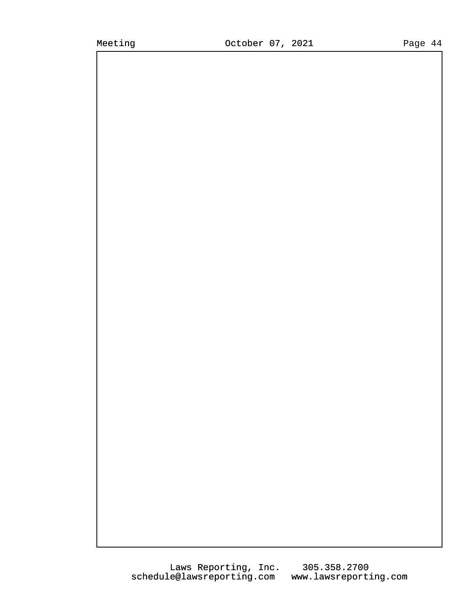|             | October 07, 2021<br>Meeting                           |
|-------------|-------------------------------------------------------|
| $\mathbf 1$ | literature you're starting to see people are getting  |
| 2           | addicted to technology, being on the games, the       |
| 3           | phones, computers. A child's brain is very young.     |
| 4           | We need to keep that in mind about development of     |
| 5           | children. And this internet and technology is a       |
| 6           | great tool, but with anything that has great          |
| 7           | potential, like water and fire, the same thing can    |
| 8           | happen like water and fire, too much of it will kill  |
| 9           | you. And not taking care of making sure that this is  |
| 10          | safe and there are structures and parameters around   |
| 11          | this with children, then it may be also harmful and   |
| 12          | that's not what we're trying to do.                   |
| 13          | MS. HOLLINGSWORTH: Thank you, Tiombe.                 |
| 14          | MR. DIAZ-HERMAN: I have a question. So I              |
| 15          | noticed that this is the only instance where we have  |
| 16          | other entities that are contributing to this project. |
| 17          | Is that because there's a certain number that needs   |
| 18          | to be raised in order to provide the service          |
| 19          | effectively? And if so, is this number an amount or   |
| 20          | is there still fundraising that's happening for it?   |
| 21          | MR. HAJ: Our general rule for the funder              |
| 22          | collaboration is at least one to two, but we look for |
| 23          | one to four match. Specifically related to this is    |
| 24          | the question? Okay. Natalia, can you assist with      |
| 25          | specifically related to this, if there are additional |
|             |                                                       |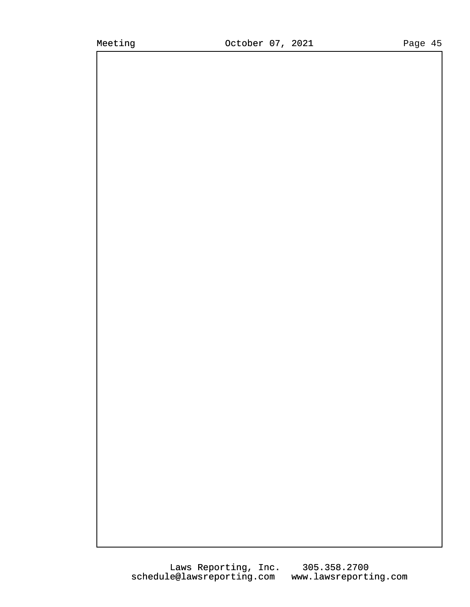|                | October 07, 2021<br>Meeting                          |
|----------------|------------------------------------------------------|
| 1              | funders coming down the pipe?                        |
| $\overline{2}$ | MS. ZEA: This is still a relatively new project      |
| 3              | and I know that the executive director of Miami      |
| 4              | Connected has been very much focused on additional   |
| 5              | fundraising efforts. And that's definitely a         |
| 6              | priority as we move forward.                         |
| 7              | MR. HAJ: Let me just give you a little bit of        |
| 8              | hindsight. This came out in the midst of the         |
| 9              | pandemic when we started seeing where the gap was.   |
| 10             | There was also a discussion with the Board, we're in |
| 11             | the middle of our social equity discussions, and     |
| 12             | being accessed to broadband was one of the things    |
| 13             | indicated was a priority of this Board. So we were   |
| 14             | the first ones to jump on it. Kind of took the work  |
| 15             | of the team to get other funders. You see some       |
| 16             | partners here, we're still looking at how do we fill |
| 17             | that gap, and how do we meet the need. We are        |
| 18             | working regularly to figure out where the gap is and |
| 19             | how to do that and how to do that effectively and    |
| 20             | efficiently, but there is a commitment to fill this  |
| 21             | gap and do this long-term.                           |
| 22             | MR. DIAZ-HERMAN: So, thank you. Thank you for        |
| 23             | that answer. So the reason why I ask is, number one, |
| 24             | I think this is an amazing program, but this number  |
| 25             | of \$6,000,000.00 just seems so low. And so has a    |
|                |                                                      |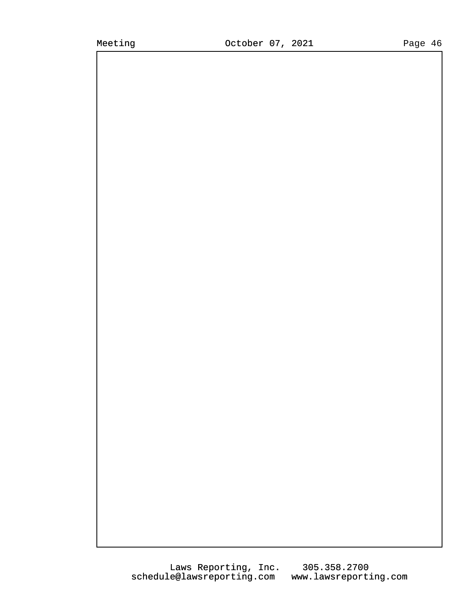|             | Meeting                                 | October 07, 2021                                     | Page 46 |  |
|-------------|-----------------------------------------|------------------------------------------------------|---------|--|
| $\mathbf 1$ |                                         | number been identified to be able to accurately      |         |  |
| 2           |                                         | provide this type of service to everyone in need?    |         |  |
| 3           |                                         | MR. HAJ: I need to get back to you. I don't          |         |  |
| 4           |                                         | have the answer for that right now. Natalia, I'm not |         |  |
| 5           |                                         | sure if you do. But when we started having this      |         |  |
| 6           |                                         | discussion, knowing that we don't know the exact     |         |  |
| 7           |                                         | number. I mean, it's kind of the environment where   |         |  |
| 8           |                                         | you will find out because you had all the online     |         |  |
| $9\,$       |                                         | schooling, so if you're going to find the gaps, it's |         |  |
| 10          |                                         | going to be working with a school system, we're      |         |  |
| 11          |                                         | finding out who has the needs and how do we provide  |         |  |
| 12          |                                         | it. But Natalia can give us specific information,    |         |  |
| 13          | where we're at and where we're going.   |                                                      |         |  |
| 14          |                                         | MS. ZEA: The projected cost based upon the           |         |  |
| 15          |                                         | initial discussion and the game plan as it moves now |         |  |
| 16          | is around 14.4 million total.           |                                                      |         |  |
| 17          | MS. HOLLINGSWORTH: Thank you.           |                                                      |         |  |
| 18          |                                         | DR. BAGNER: If I may, Madam Chair? I just            |         |  |
| 19          |                                         | wanted to -- a follow up question briefly. Is there  |         |  |
| 20          |                                         | -- it seems like the funding is primarily for the    |         |  |
| 21          |                                         | actual broadband hotspots. Is there funding for      |         |  |
| 22          |                                         | devices for families that don't have devices to use  |         |  |
| 23          |                                         | the internet and if not, is that part of the long-   |         |  |
| 24          | term goal, if that's seen as a barrier? |                                                      |         |  |
| 25          | MR. HAJ: Natalia?                       |                                                      |         |  |
|             |                                         |                                                      |         |  |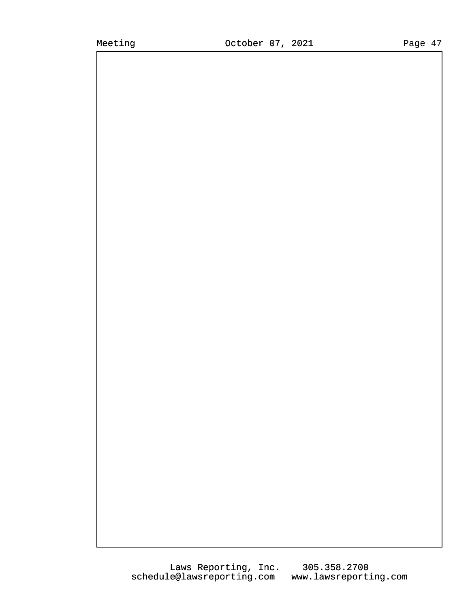|                | October 07, 2021<br>Meeting                           | Page 47 |
|----------------|-------------------------------------------------------|---------|
| $\mathbf 1$    | MS. ZEA: My understanding when this project was       |         |
| 2              | started is Miami-Dade County was one of the entities  |         |
| 3              | that was interested in providing support that they    |         |
| 4              | could. My understanding was that Miami-Dade County    |         |
| 5              | specifically, directly with the school system,        |         |
| 6              | assisted in the area of devices and allocating. I     |         |
| $\overline{7}$ | could find out more information on those specifics if |         |
| 8              | you'd like.                                           |         |
| 9              | DR. BAGNER: Yeah, that would be helpful. I            |         |
| 10             | mean, I think the school's provided computers to      |         |
| 11             | students during the pandemic, but the question is,    |         |
| 12             | like, other devices for them to use, you know.        |         |
| 13             | MS. HOLLINGSWORTH: Thank you. All those in            |         |
| 14             | favor?                                                |         |
| 15             | ALL: Aye.                                             |         |
| 16             | MS. HOLLINGSWORTH: Are there any opposed? The         |         |
| 17             | resolution carries. And with that, that concludes     |         |
| 18             | our resolutions for the day. I'll punt back to you,   |         |
| 19             | Jim, for the CEO report.                              |         |
| 20             | MS. BENDROSS-MINDINGALL: Madam Chair, before we       |         |
| 21             | move on, I just want to share this with Jim. I would  |         |
| 22             | be happy to share, I think its reso D, in looking for |         |
| 23             | employees for our children. I would be happy to do    |         |
| 24             | that, Jim.                                            |         |
| 25             | MR. HAJ: Dr. Bendross-Mindingall, thank you.          |         |
|                |                                                       |         |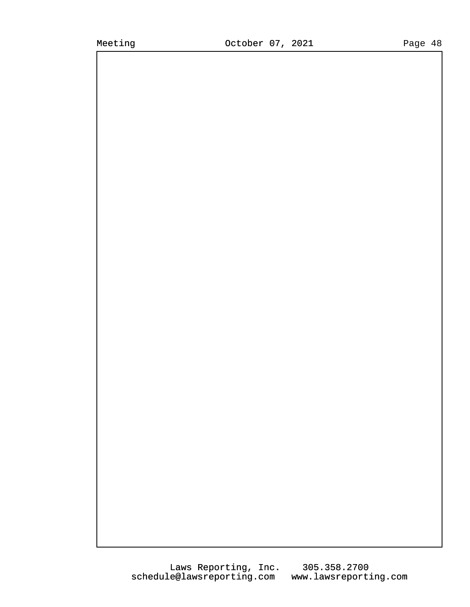|                | Meeting                          | October 07, 2021                                      | Page 48 |
|----------------|----------------------------------|-------------------------------------------------------|---------|
| $\mathbf 1$    |                                  | We're reaching out to your office. When this thing    |         |
| $\overline{2}$ |                                  | goes live, we're also going to send the link to all   |         |
| 3              | our Board members --             |                                                       |         |
| 4              |                                  | MS. BENDROSS-MINDINGALL: Wonderful.                   |         |
| 5              |                                  | MR. HAJ: -- and to the chambers and to                |         |
| 6              |                                  | everybody else to really spread the word. Again, the  |         |
| 7              |                                  | students are not -- really the hardest part right now |         |
| 8              |                                  | in this environment is getting the employers. We're   |         |
| 9              | going to really need a big push. |                                                       |         |
| 10             |                                  | MS. BENDROSS-MINDINGALL: I'd be happy to help,        |         |
| 11             | Jim.                             |                                                       |         |
| 12             |                                  | MS. HAJ: Thank you. Spooky Symphony, it's at          |         |
| 13             |                                  | Dade County auditorium October 24, in two weeks. If   |         |
| 14             |                                  | you and your families would like to attend, please    |         |
| 15             |                                  | let us know so we can make the reservations. Mark     |         |
| 16             |                                  | Trowbridge is our MC and if you haven't seen an       |         |
| 17             |                                  | amazing MC, its Mark and his outfit changes and him   |         |
| 18             |                                  | coming out in costumes. So that is a great event.     |         |
| 19             |                                  | We have our scheduled Board meetings for the          |         |
| 20             |                                  | rest of this fiscal year, the rest of this calendar   |         |
| 21             |                                  | year. We have three work groups coming up. The        |         |
| 22             |                                  | Early Childhood Community Research Results Summit is  |         |
| 23             |                                  | coming up on November 4. We've had great interests    |         |
| 24             |                                  | in the years for our Board members coming and         |         |
| 25             |                                  | listening to all our providers sharing back their     |         |
|                |                                  |                                                       |         |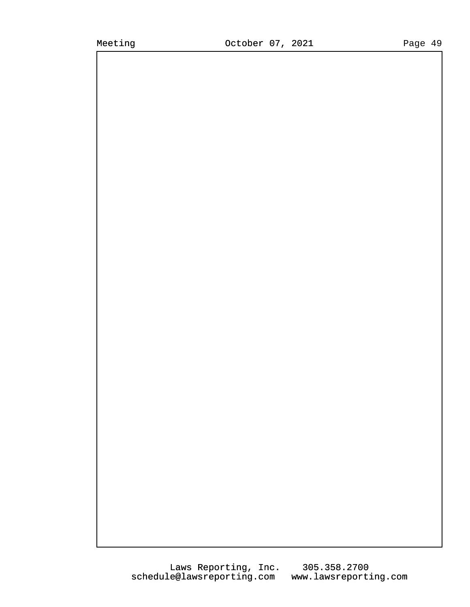|                | October 07, 2021<br>Meeting                          | Page 49 |
|----------------|------------------------------------------------------|---------|
| $\mathbf{1}$   | data.                                                |         |
| 2              | The Ad Hoc Early Childhood Committee Meeting is      |         |
| 3              | November 9th from 9:00 to 12:00. Its open -- we're   |         |
| 4              | going to send an invite to our Ad Hoc Committee      |         |
| 5              | members, but it is, as always, its open to all the   |         |
| 6              | Board members. I think it's going to be a great      |         |
| $\overline{7}$ | meeting. With individuals from the national level,   |         |
| 8              | the state level, the community level, our partners,  |         |
| 9              | and from the Florida Business Lens about child --    |         |
| 10             | importance of childcare in Florida. The Racial       |         |
| 11             | Equity and Social Justice Committee will be December |         |
| 12             | 2nd from 3:30 to 5:30. And again, these will all be  |         |
| 13             | on your calendars.                                   |         |
| 14             | Thank you, Madam chair.                              |         |
| 15             | MS. HOLLINGSWORTH: Thank you, Jim. And with          |         |
| 16             | that, committee members, staff, guests, we are       |         |
| 17             | adjourned. Thank you.                                |         |
| 18             | (Whereupon, at 5:59 p.m., the meeting was            |         |
| 19             | adjourned.)                                          |         |
| 20             |                                                      |         |
| 21             |                                                      |         |
| 22             |                                                      |         |
| 23             |                                                      |         |
| 24             |                                                      |         |
| 25             |                                                      |         |
|                |                                                      |         |